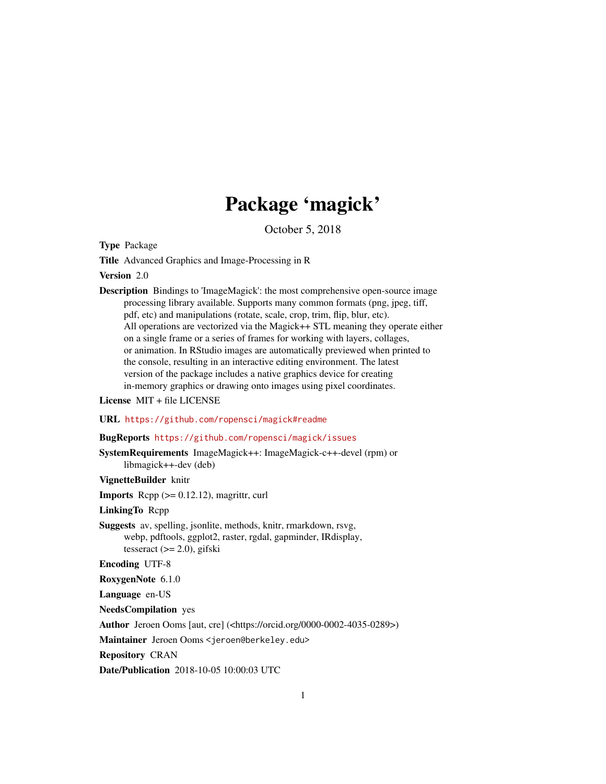## Package 'magick'

October 5, 2018

<span id="page-0-0"></span>Type Package

Title Advanced Graphics and Image-Processing in R

Version 2.0

Description Bindings to 'ImageMagick': the most comprehensive open-source image processing library available. Supports many common formats (png, jpeg, tiff, pdf, etc) and manipulations (rotate, scale, crop, trim, flip, blur, etc). All operations are vectorized via the Magick++ STL meaning they operate either on a single frame or a series of frames for working with layers, collages, or animation. In RStudio images are automatically previewed when printed to the console, resulting in an interactive editing environment. The latest version of the package includes a native graphics device for creating in-memory graphics or drawing onto images using pixel coordinates.

License MIT + file LICENSE

URL <https://github.com/ropensci/magick#readme>

#### BugReports <https://github.com/ropensci/magick/issues>

SystemRequirements ImageMagick++: ImageMagick-c++-devel (rpm) or libmagick++-dev (deb)

VignetteBuilder knitr

**Imports** Rcpp  $(>= 0.12.12)$ , magrittr, curl

LinkingTo Rcpp

Suggests av, spelling, jsonlite, methods, knitr, rmarkdown, rsvg, webp, pdftools, ggplot2, raster, rgdal, gapminder, IRdisplay, tesseract (>= 2.0), gifski

Encoding UTF-8

RoxygenNote 6.1.0

Language en-US

NeedsCompilation yes

Author Jeroen Ooms [aut, cre] (<https://orcid.org/0000-0002-4035-0289>)

Maintainer Jeroen Ooms <jeroen@berkeley.edu>

Repository CRAN

Date/Publication 2018-10-05 10:00:03 UTC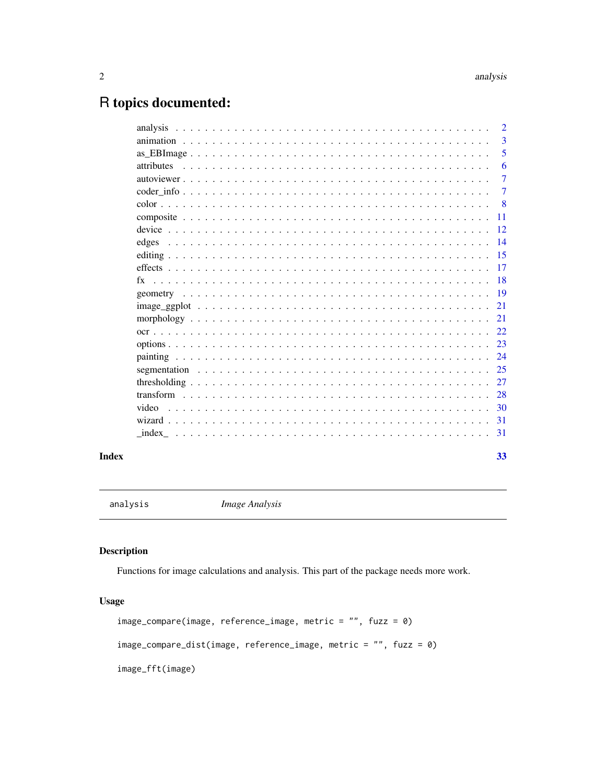## <span id="page-1-0"></span>R topics documented:

|            | $\overline{2}$ |
|------------|----------------|
|            | 3              |
|            | 5              |
| attributes | 6              |
|            | 7              |
|            | 7              |
|            | -8             |
|            | 11             |
|            | 12             |
| edges      | 14             |
|            | 15             |
|            | 17             |
| $f_{X}$    | 18             |
|            | 19             |
|            | 21             |
|            | 21             |
|            | 22             |
|            |                |
|            | 24             |
|            | 25             |
|            | 27             |
|            |                |
|            | 28             |
| video      | 30             |
|            | -31            |
|            | 31             |
|            |                |

#### **Index** [33](#page-32-0)

<span id="page-1-2"></span>analysis *Image Analysis*

## <span id="page-1-1"></span>Description

Functions for image calculations and analysis. This part of the package needs more work.

## Usage

```
image_compare(image, reference_image, metric = "", fuzz = 0)
image_compare_dist(image, reference_image, metric = "", fuzz = 0)
image_fft(image)
```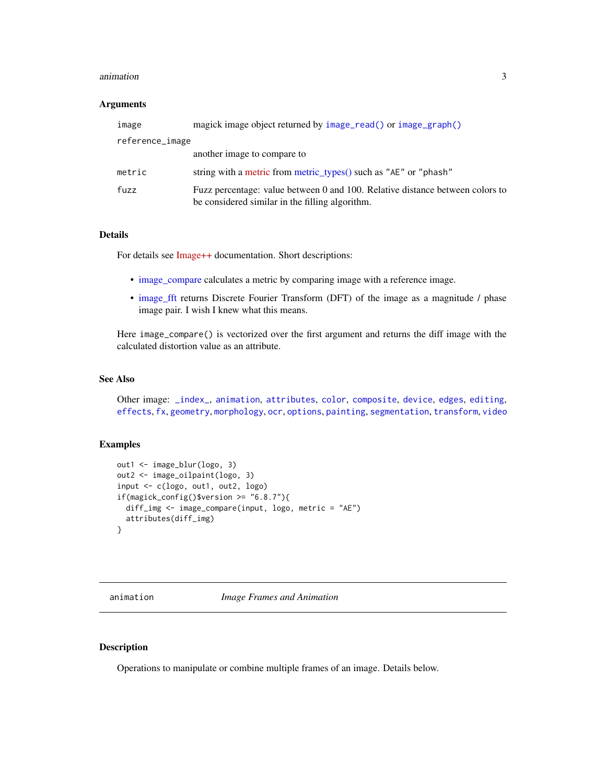#### <span id="page-2-0"></span>animation 3

#### **Arguments**

| image           | magick image object returned by image_read() or image_graph()                                                                    |
|-----------------|----------------------------------------------------------------------------------------------------------------------------------|
| reference_image |                                                                                                                                  |
|                 | another image to compare to                                                                                                      |
| metric          | string with a metric from metric_types() such as "AE" or "phash"                                                                 |
| fuzz            | Fuzz percentage: value between 0 and 100. Relative distance between colors to<br>be considered similar in the filling algorithm. |

## Details

For details see [Image++](https://www.imagemagick.org/Magick++/Image++.html) documentation. Short descriptions:

- [image\\_compare](#page-1-1) calculates a metric by comparing image with a reference image.
- [image\\_fft](#page-1-1) returns Discrete Fourier Transform (DFT) of the image as a magnitude / phase image pair. I wish I knew what this means.

Here image\_compare() is vectorized over the first argument and returns the diff image with the calculated distortion value as an attribute.

#### See Also

```
Other image: _index_, animation, attributes, color, composite, device, edges, editing,
effects, fx, geometry, morphology, ocr, options, painting, segmentation, transform, video
```
#### Examples

```
out1 <- image_blur(logo, 3)
out2 <- image_oilpaint(logo, 3)
input <- c(logo, out1, out2, logo)
if(magick\_config()$version >= "6.8.7"){
  diff_img <- image_compare(input, logo, metric = "AE")
  attributes(diff_img)
}
```
<span id="page-2-1"></span>animation *Image Frames and Animation*

## <span id="page-2-2"></span>Description

Operations to manipulate or combine multiple frames of an image. Details below.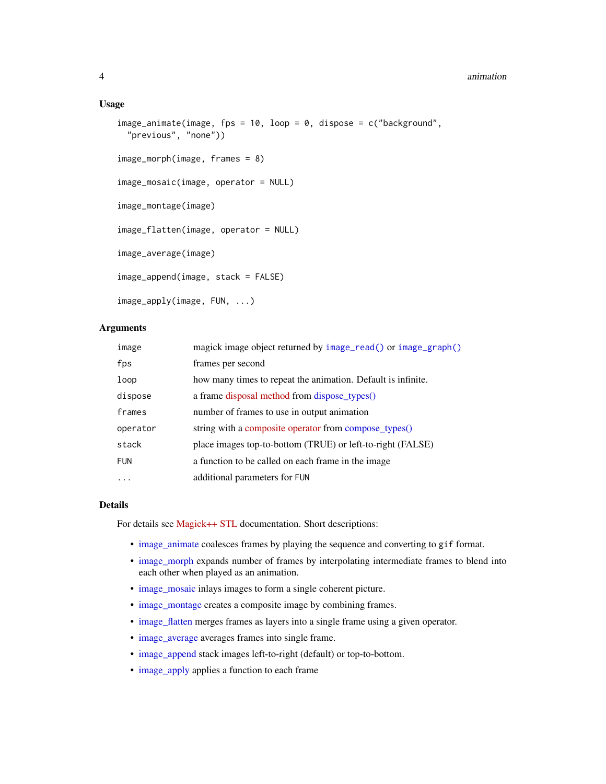#### <span id="page-3-0"></span>Usage

```
image_animate(image, fps = 10, loop = 0, dispose = c("background",
  "previous", "none"))
image_morph(image, frames = 8)
image_mosaic(image, operator = NULL)
image_montage(image)
image_flatten(image, operator = NULL)
image_average(image)
image_append(image, stack = FALSE)
image_apply(image, FUN, ...)
```
## **Arguments**

| image      | magick image object returned by image_read() or image_graph() |
|------------|---------------------------------------------------------------|
| fps        | frames per second                                             |
| loop       | how many times to repeat the animation. Default is infinite.  |
| dispose    | a frame disposal method from dispose_types()                  |
| frames     | number of frames to use in output animation                   |
| operator   | string with a composite operator from compose_types()         |
| stack      | place images top-to-bottom (TRUE) or left-to-right (FALSE)    |
| <b>FUN</b> | a function to be called on each frame in the image            |
| $\cdots$   | additional parameters for FUN                                 |

#### Details

For details see [Magick++ STL](https://www.imagemagick.org/Magick++/STL.html) documentation. Short descriptions:

- [image\\_animate](#page-2-2) coalesces frames by playing the sequence and converting to gif format.
- [image\\_morph](#page-2-2) expands number of frames by interpolating intermediate frames to blend into each other when played as an animation.
- [image\\_mosaic](#page-2-2) inlays images to form a single coherent picture.
- [image\\_montage](#page-2-2) creates a composite image by combining frames.
- [image\\_flatten](#page-2-2) merges frames as layers into a single frame using a given operator.
- [image\\_average](#page-2-2) averages frames into single frame.
- [image\\_append](#page-2-2) stack images left-to-right (default) or top-to-bottom.
- [image\\_apply](#page-2-2) applies a function to each frame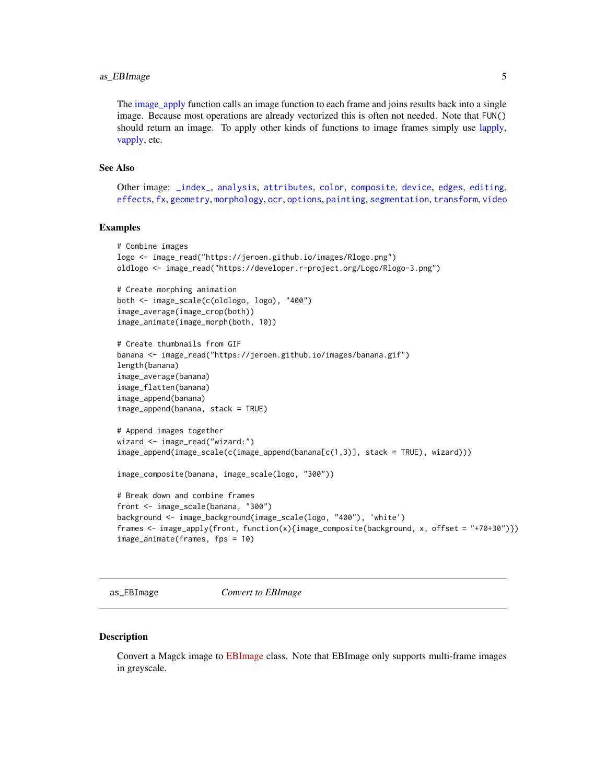## <span id="page-4-0"></span>as\_EBImage 5

The [image\\_apply](#page-2-2) function calls an image function to each frame and joins results back into a single image. Because most operations are already vectorized this is often not needed. Note that FUN() should return an image. To apply other kinds of functions to image frames simply use [lapply,](#page-0-0) [vapply,](#page-0-0) etc.

## See Also

Other image: [\\_index\\_](#page-30-1), [analysis](#page-1-2), [attributes](#page-5-1), [color](#page-7-1), [composite](#page-10-1), [device](#page-11-2), [edges](#page-13-1), [editing](#page-14-2), [effects](#page-16-1), [fx](#page-17-1), [geometry](#page-18-1), [morphology](#page-20-1), [ocr](#page-21-1), [options](#page-22-2), [painting](#page-23-1), [segmentation](#page-24-1), [transform](#page-27-1), [video](#page-29-1)

#### Examples

```
# Combine images
logo <- image_read("https://jeroen.github.io/images/Rlogo.png")
oldlogo <- image_read("https://developer.r-project.org/Logo/Rlogo-3.png")
# Create morphing animation
both <- image_scale(c(oldlogo, logo), "400")
image_average(image_crop(both))
image_animate(image_morph(both, 10))
# Create thumbnails from GIF
banana <- image_read("https://jeroen.github.io/images/banana.gif")
length(banana)
image_average(banana)
image_flatten(banana)
image_append(banana)
image_append(banana, stack = TRUE)
# Append images together
wizard <- image_read("wizard:")
image_append(image_scale(c(image_append(banana[c(1,3)], stack = TRUE), wizard)))
image_composite(banana, image_scale(logo, "300"))
# Break down and combine frames
front <- image_scale(banana, "300")
background <- image_background(image_scale(logo, "400"), 'white')
frames <- image_apply(front, function(x){image_composite(background, x, offset = "+70+30")})
image_animate(frames, fps = 10)
```
as\_EBImage *Convert to EBImage*

#### Description

Convert a Magck image to [EBImage](https://bioconductor.org/packages/release/bioc/html/EBImage.html) class. Note that EBImage only supports multi-frame images in greyscale.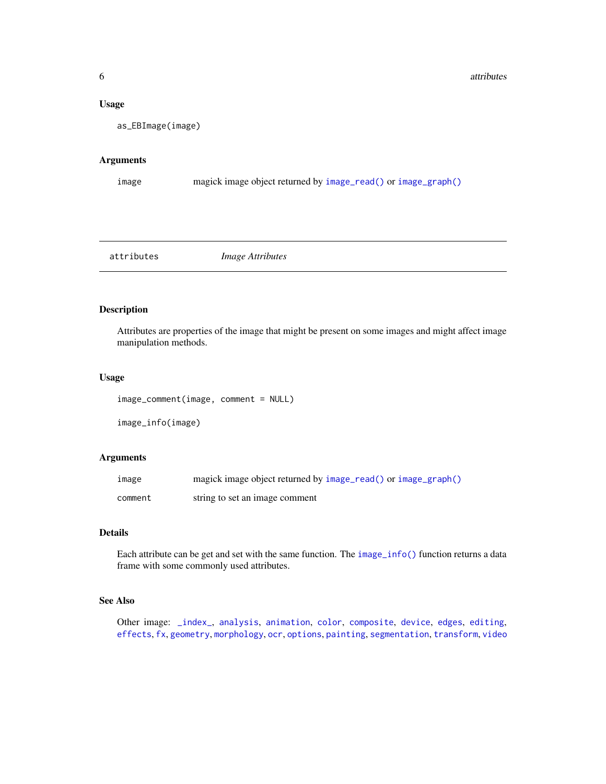#### <span id="page-5-0"></span>Usage

```
as_EBImage(image)
```
#### Arguments

```
image magick image object returned by image_read() or image_graph()
```
<span id="page-5-1"></span>attributes *Image Attributes*

## <span id="page-5-2"></span>Description

Attributes are properties of the image that might be present on some images and might affect image manipulation methods.

#### Usage

```
image_comment(image, comment = NULL)
```

```
image_info(image)
```
## Arguments

| image   | magick image object returned by image_read() or image_graph() |
|---------|---------------------------------------------------------------|
| comment | string to set an image comment                                |

## Details

Each attribute can be get and set with the same function. The [image\\_info\(\)](#page-5-2) function returns a data frame with some commonly used attributes.

## See Also

Other image: [\\_index\\_](#page-30-1), [analysis](#page-1-2), [animation](#page-2-1), [color](#page-7-1), [composite](#page-10-1), [device](#page-11-2), [edges](#page-13-1), [editing](#page-14-2), [effects](#page-16-1), [fx](#page-17-1), [geometry](#page-18-1), [morphology](#page-20-1), [ocr](#page-21-1), [options](#page-22-2), [painting](#page-23-1), [segmentation](#page-24-1), [transform](#page-27-1), [video](#page-29-1)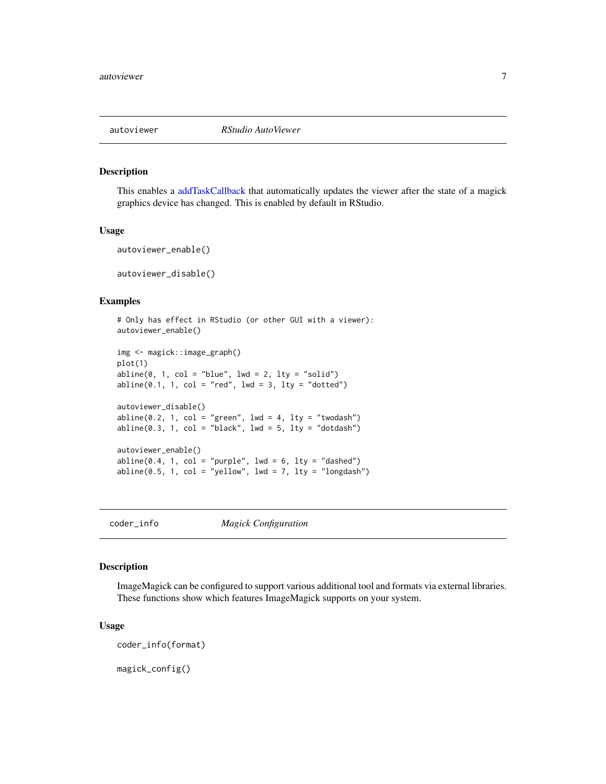<span id="page-6-0"></span>

#### Description

This enables a [addTaskCallback](#page-0-0) that automatically updates the viewer after the state of a magick graphics device has changed. This is enabled by default in RStudio.

#### Usage

autoviewer\_enable()

autoviewer\_disable()

## Examples

```
# Only has effect in RStudio (or other GUI with a viewer):
autoviewer_enable()
```

```
img <- magick::image_graph()
plot(1)
abline(0, 1, col = "blue", 1wd = 2, 1ty = "solid")abline(0.1, 1, col = "red", Ind = 3, lty = "dotted")autoviewer_disable()
abline(0.2, 1, col = "green", 1wd = 4, 1ty = "twodash")abline(0.3, 1, col = "black", lwd = 5, lty = "dotdash")autoviewer_enable()
abline(0.4, 1, col = "purple", 1wd = 6, 1ty = "dashed")abline(0.5, 1, col = "yellow", lwd = 7, lty = "longdash")
```
coder\_info *Magick Configuration*

#### Description

ImageMagick can be configured to support various additional tool and formats via external libraries. These functions show which features ImageMagick supports on your system.

## Usage

coder\_info(format)

magick\_config()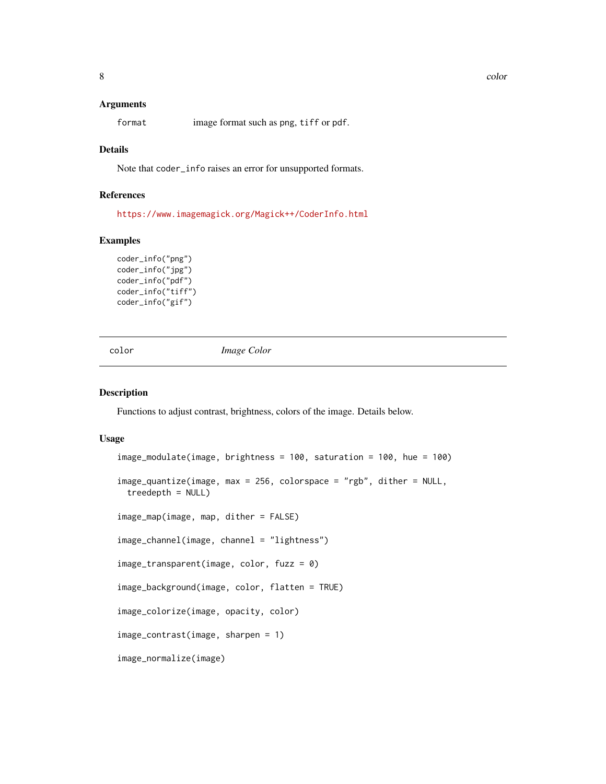#### **Arguments**

format image format such as png, tiff or pdf.

## Details

Note that coder\_info raises an error for unsupported formats.

## References

<https://www.imagemagick.org/Magick++/CoderInfo.html>

## Examples

```
coder_info("png")
coder_info("jpg")
coder_info("pdf")
coder_info("tiff")
coder_info("gif")
```
<span id="page-7-1"></span>color *Image Color*

#### <span id="page-7-2"></span>Description

Functions to adjust contrast, brightness, colors of the image. Details below.

#### Usage

```
image_modulate(image, brightness = 100, saturation = 100, hue = 100)
image_quantize(image, max = 256, colorspace = "rgb", dither = NULL,
  treedepth = NULL)
image_map(image, map, dither = FALSE)
image_channel(image, channel = "lightness")
image_transparent(image, color, fuzz = 0)
image_background(image, color, flatten = TRUE)
image_colorize(image, opacity, color)
image_contrast(image, sharpen = 1)
image_normalize(image)
```
<span id="page-7-0"></span>8 color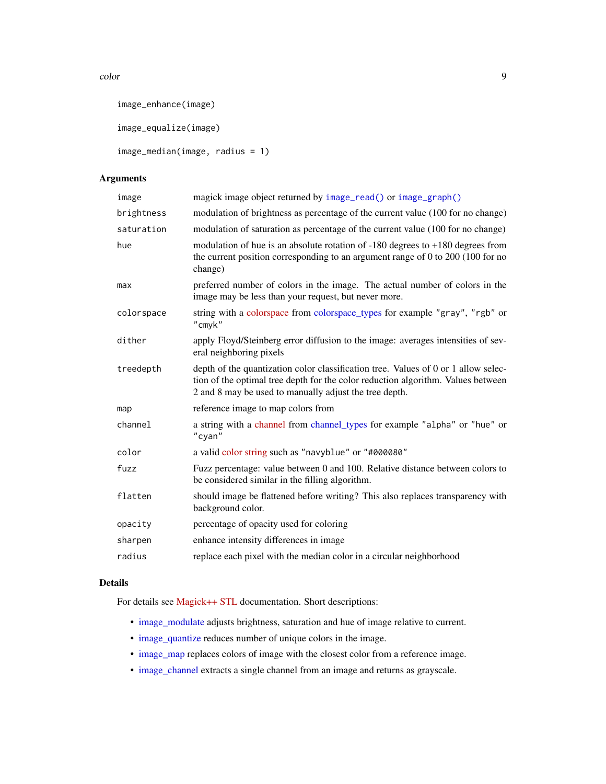#### <span id="page-8-0"></span>color that the color of the set of the set of the set of the set of the set of the set of the set of the set of the set of the set of the set of the set of the set of the set of the set of the set of the set of the set of

```
image_enhance(image)
```
image\_equalize(image)

```
image_median(image, radius = 1)
```
## Arguments

| image      | magick image object returned by image_read() or image_graph()                                                                                                                                                                    |
|------------|----------------------------------------------------------------------------------------------------------------------------------------------------------------------------------------------------------------------------------|
| brightness | modulation of brightness as percentage of the current value (100 for no change)                                                                                                                                                  |
| saturation | modulation of saturation as percentage of the current value (100 for no change)                                                                                                                                                  |
| hue        | modulation of hue is an absolute rotation of $-180$ degrees to $+180$ degrees from<br>the current position corresponding to an argument range of $0$ to $200$ (100 for no<br>change)                                             |
| max        | preferred number of colors in the image. The actual number of colors in the<br>image may be less than your request, but never more.                                                                                              |
| colorspace | string with a colorspace from colorspace_types for example "gray", "rgb" or<br>"cmyk"                                                                                                                                            |
| dither     | apply Floyd/Steinberg error diffusion to the image: averages intensities of sev-<br>eral neighboring pixels                                                                                                                      |
| treedepth  | depth of the quantization color classification tree. Values of 0 or 1 allow selec-<br>tion of the optimal tree depth for the color reduction algorithm. Values between<br>2 and 8 may be used to manually adjust the tree depth. |
| map        | reference image to map colors from                                                                                                                                                                                               |
| channel    | a string with a channel from channel_types for example "alpha" or "hue" or<br>"cyan"                                                                                                                                             |
| color      | a valid color string such as "navyblue" or "#000080"                                                                                                                                                                             |
| fuzz       | Fuzz percentage: value between 0 and 100. Relative distance between colors to<br>be considered similar in the filling algorithm.                                                                                                 |
| flatten    | should image be flattened before writing? This also replaces transparency with<br>background color.                                                                                                                              |
| opacity    | percentage of opacity used for coloring                                                                                                                                                                                          |
| sharpen    | enhance intensity differences in image                                                                                                                                                                                           |
| radius     | replace each pixel with the median color in a circular neighborhood                                                                                                                                                              |

## Details

For details see [Magick++ STL](https://www.imagemagick.org/Magick++/STL.html) documentation. Short descriptions:

- [image\\_modulate](#page-7-2) adjusts brightness, saturation and hue of image relative to current.
- [image\\_quantize](#page-7-2) reduces number of unique colors in the image.
- [image\\_map](#page-7-2) replaces colors of image with the closest color from a reference image.
- [image\\_channel](#page-7-2) extracts a single channel from an image and returns as grayscale.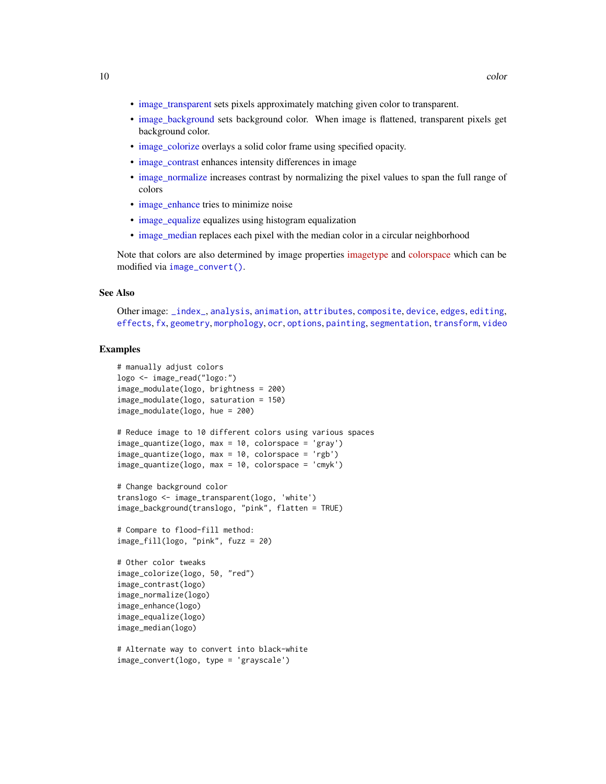- <span id="page-9-0"></span>• [image\\_transparent](#page-7-2) sets pixels approximately matching given color to transparent.
- [image\\_background](#page-7-2) sets background color. When image is flattened, transparent pixels get background color.
- [image\\_colorize](#page-7-2) overlays a solid color frame using specified opacity.
- [image\\_contrast](#page-7-2) enhances intensity differences in image
- [image\\_normalize](#page-7-2) increases contrast by normalizing the pixel values to span the full range of colors
- [image\\_enhance](#page-7-2) tries to minimize noise
- [image\\_equalize](#page-7-2) equalizes using histogram equalization
- [image\\_median](#page-7-2) replaces each pixel with the median color in a circular neighborhood

Note that colors are also determined by image properties [imagetype](https://www.imagemagick.org/Magick++/Enumerations.html#ImageType) and [colorspace](https://www.imagemagick.org/Magick++/Enumerations.html#ColorspaceType) which can be modified via [image\\_convert\(\)](#page-14-1).

#### See Also

```
Other image: _index_, analysis, animation, attributes, composite, device, edges, editing,
effects, fx, geometry, morphology, ocr, options, painting, segmentation, transform, video
```
#### Examples

```
# manually adjust colors
logo <- image_read("logo:")
image_modulate(logo, brightness = 200)
image_modulate(logo, saturation = 150)
image_modulate(logo, hue = 200)
# Reduce image to 10 different colors using various spaces
image_quantize(logo, max = 10, colorspace = 'gray')
image_quantize(logo, max = 10, colorspace = 'rgb')
image_quantize(logo, max = 10, colorspace = 'cmyk')
# Change background color
translogo <- image_transparent(logo, 'white')
image_background(translogo, "pink", flatten = TRUE)
# Compare to flood-fill method:
image_fill(logo, "pink", fuzz = 20)
# Other color tweaks
image_colorize(logo, 50, "red")
image_contrast(logo)
image_normalize(logo)
image_enhance(logo)
image_equalize(logo)
image_median(logo)
# Alternate way to convert into black-white
```

```
image_convert(logo, type = 'grayscale')
```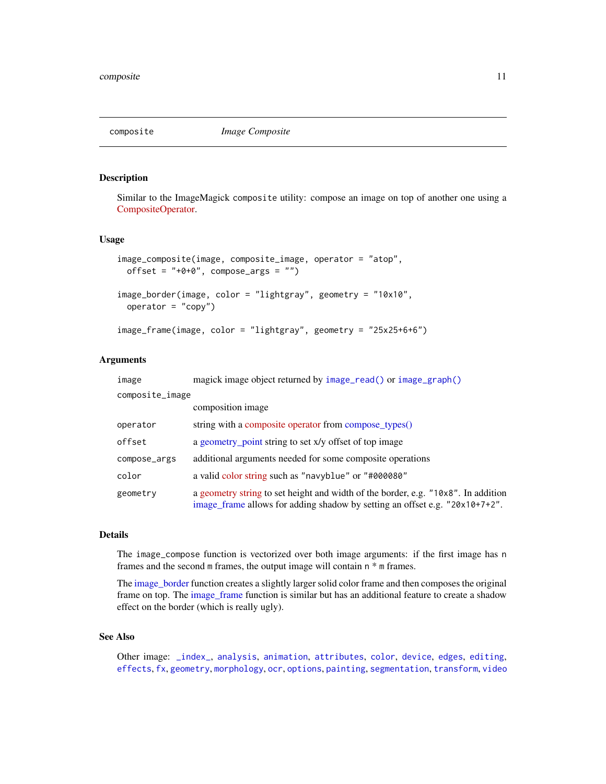<span id="page-10-1"></span><span id="page-10-0"></span>

#### <span id="page-10-2"></span>Description

Similar to the ImageMagick composite utility: compose an image on top of another one using a [CompositeOperator.](https://www.imagemagick.org/Magick++/Enumerations.html#CompositeOperator)

## Usage

```
image_composite(image, composite_image, operator = "atop",
 offset = "+0+0", compose_{args} = "")image_border(image, color = "lightgray", geometry = "10x10",
 operator = "copy")image_frame(image, color = "lightgray", geometry = "25x25+6+6")
```
#### Arguments

| image           | magick image object returned by image_read() or image_graph()                                                                                                    |
|-----------------|------------------------------------------------------------------------------------------------------------------------------------------------------------------|
| composite_image |                                                                                                                                                                  |
|                 | composition image                                                                                                                                                |
| operator        | string with a composite operator from compose types()                                                                                                            |
| offset          | a geometry point string to set x/y offset of top image                                                                                                           |
| compose_args    | additional arguments needed for some composite operations                                                                                                        |
| color           | a valid color string such as "navyblue" or "#000080"                                                                                                             |
| geometry        | a geometry string to set height and width of the border, e.g. "10x8". In addition<br>image_frame allows for adding shadow by setting an offset e.g. "20x10+7+2". |

#### Details

The image\_compose function is vectorized over both image arguments: if the first image has n frames and the second m frames, the output image will contain n \* m frames.

The [image\\_border](#page-10-2) function creates a slightly larger solid color frame and then composes the original frame on top. The [image\\_frame](#page-10-2) function is similar but has an additional feature to create a shadow effect on the border (which is really ugly).

## See Also

Other image: [\\_index\\_](#page-30-1), [analysis](#page-1-2), [animation](#page-2-1), [attributes](#page-5-1), [color](#page-7-1), [device](#page-11-2), [edges](#page-13-1), [editing](#page-14-2), [effects](#page-16-1), [fx](#page-17-1), [geometry](#page-18-1), [morphology](#page-20-1), [ocr](#page-21-1), [options](#page-22-2), [painting](#page-23-1), [segmentation](#page-24-1), [transform](#page-27-1), [video](#page-29-1)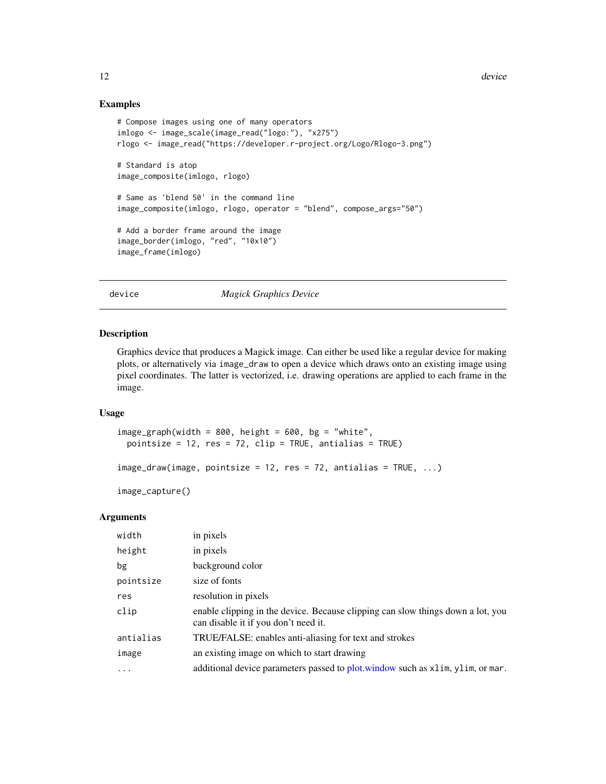#### Examples

```
# Compose images using one of many operators
imlogo <- image_scale(image_read("logo:"), "x275")
rlogo <- image_read("https://developer.r-project.org/Logo/Rlogo-3.png")
# Standard is atop
image_composite(imlogo, rlogo)
# Same as 'blend 50' in the command line
image_composite(imlogo, rlogo, operator = "blend", compose_args="50")
# Add a border frame around the image
image_border(imlogo, "red", "10x10")
image_frame(imlogo)
```
<span id="page-11-2"></span>device *Magick Graphics Device*

#### <span id="page-11-1"></span>Description

Graphics device that produces a Magick image. Can either be used like a regular device for making plots, or alternatively via image\_draw to open a device which draws onto an existing image using pixel coordinates. The latter is vectorized, i.e. drawing operations are applied to each frame in the image.

#### Usage

```
image\_graph(width = 800, height = 600, bg = "white",pointsize = 12, res = 72, clip = TRUE, antialias = TRUE)
```

```
image_{draw(image, pointsize = 12, res = 72, antialias = TRUE, ...)
```

```
image_capture()
```
#### Arguments

| width     | in pixels                                                                                                               |
|-----------|-------------------------------------------------------------------------------------------------------------------------|
| height    | in pixels                                                                                                               |
| bg        | background color                                                                                                        |
| pointsize | size of fonts                                                                                                           |
| res       | resolution in pixels                                                                                                    |
| clip      | enable clipping in the device. Because clipping can slow things down a lot, you<br>can disable it if you don't need it. |
| antialias | TRUE/FALSE: enables anti-aliasing for text and strokes                                                                  |
| image     | an existing image on which to start drawing                                                                             |
| $\ddotsc$ | additional device parameters passed to plot window such as x1im, y1im, or mar.                                          |

<span id="page-11-0"></span>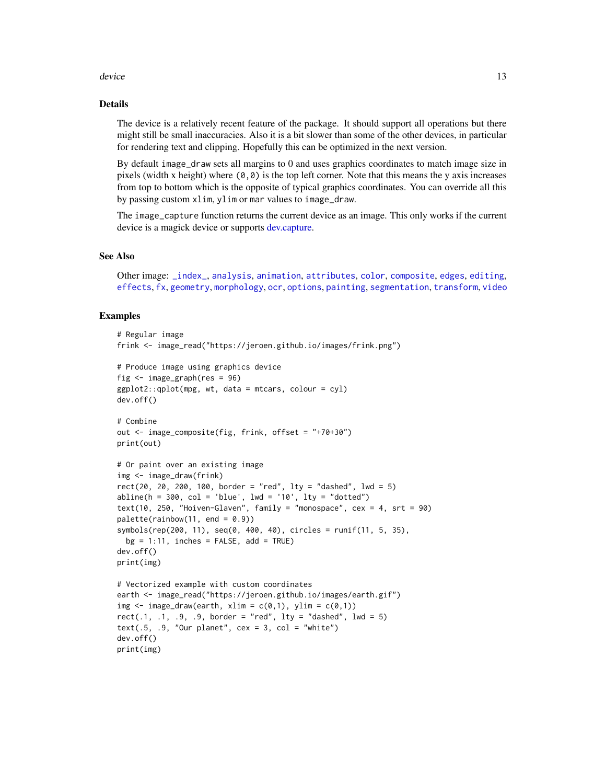#### <span id="page-12-0"></span>device the contract of the contract of the contract of the contract of the contract of the contract of the contract of the contract of the contract of the contract of the contract of the contract of the contract of the con

#### Details

The device is a relatively recent feature of the package. It should support all operations but there might still be small inaccuracies. Also it is a bit slower than some of the other devices, in particular for rendering text and clipping. Hopefully this can be optimized in the next version.

By default image\_draw sets all margins to 0 and uses graphics coordinates to match image size in pixels (width x height) where  $(0,0)$  is the top left corner. Note that this means the y axis increases from top to bottom which is the opposite of typical graphics coordinates. You can override all this by passing custom xlim, ylim or mar values to image\_draw.

The image\_capture function returns the current device as an image. This only works if the current device is a magick device or supports [dev.capture.](#page-0-0)

#### See Also

Other image: [\\_index\\_](#page-30-1), [analysis](#page-1-2), [animation](#page-2-1), [attributes](#page-5-1), [color](#page-7-1), [composite](#page-10-1), [edges](#page-13-1), [editing](#page-14-2), [effects](#page-16-1), [fx](#page-17-1), [geometry](#page-18-1), [morphology](#page-20-1), [ocr](#page-21-1), [options](#page-22-2), [painting](#page-23-1), [segmentation](#page-24-1), [transform](#page-27-1), [video](#page-29-1)

## Examples

```
# Regular image
frink <- image_read("https://jeroen.github.io/images/frink.png")
# Produce image using graphics device
fig \le image_graph(res = 96)
ggplot2::qplot(mpg, wt, data = mtcars, colour = cyl)dev.off()
# Combine
out <- image_composite(fig, frink, offset = "+70+30")
print(out)
# Or paint over an existing image
img <- image_draw(frink)
rect(20, 20, 200, 100, border = "red", lty = "dashed", lwd = 5)abline(h = 300, col = 'blue', lwd = '10', lty = "dotted")text(10, 250, "Hoiven-Glaven", family = "monospace", cex = 4, srt = 90)
palette(rainbow(11, end = 0.9))symbols(rep(200, 11), seq(0, 400, 40), circles = runif(11, 5, 35),
 bg = 1:11, inches = FALSE, add = TRUE)
dev.off()
print(img)
# Vectorized example with custom coordinates
earth <- image_read("https://jeroen.github.io/images/earth.gif")
img \leq image_draw(earth, xlim = c(0,1), ylim = c(0,1))
rect(.1, .1, .9, .9, border = "red", lty = "dashed", lwd = 5)text(.5, .9, 'Our planet', cex = 3, col = 'white')dev.off()
print(img)
```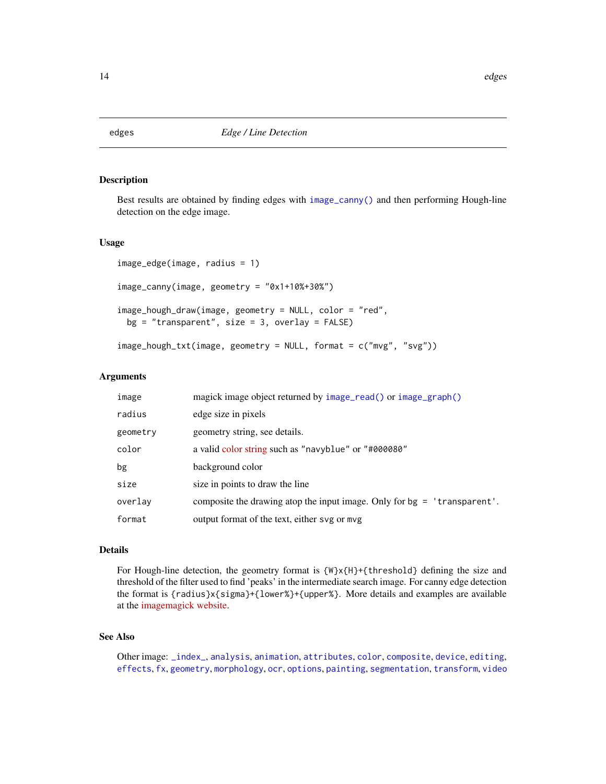<span id="page-13-1"></span><span id="page-13-0"></span>

## <span id="page-13-2"></span>Description

Best results are obtained by finding edges with [image\\_canny\(\)](#page-13-2) and then performing Hough-line detection on the edge image.

#### Usage

```
image_edge(image, radius = 1)
image_canny(image, geometry = "0x1+10%+30%")
image_hough_draw(image, geometry = NULL, color = "red",
 bg = "transparent", size = 3, overlap = FALSE)image_hough_txt(image, geometry = NULL, format = c("mvg", "svg"))
```
## Arguments

| image    | magick image object returned by image_read() or image_graph()            |
|----------|--------------------------------------------------------------------------|
| radius   | edge size in pixels                                                      |
| geometry | geometry string, see details.                                            |
| color    | a valid color string such as "navyblue" or "#000080"                     |
| bg       | background color                                                         |
| size     | size in points to draw the line                                          |
| overlay  | composite the drawing atop the input image. Only for bg = 'transparent'. |
| format   | output format of the text, either svg or mvg                             |

## Details

For Hough-line detection, the geometry format is {W}x{H}+{threshold} defining the size and threshold of the filter used to find 'peaks' in the intermediate search image. For canny edge detection the format is {radius}x{sigma}+{lower%}+{upper%}. More details and examples are available at the [imagemagick website.](https://www.imagemagick.org/Usage/transform/#hough)

## See Also

Other image: [\\_index\\_](#page-30-1), [analysis](#page-1-2), [animation](#page-2-1), [attributes](#page-5-1), [color](#page-7-1), [composite](#page-10-1), [device](#page-11-2), [editing](#page-14-2), [effects](#page-16-1), [fx](#page-17-1), [geometry](#page-18-1), [morphology](#page-20-1), [ocr](#page-21-1), [options](#page-22-2), [painting](#page-23-1), [segmentation](#page-24-1), [transform](#page-27-1), [video](#page-29-1)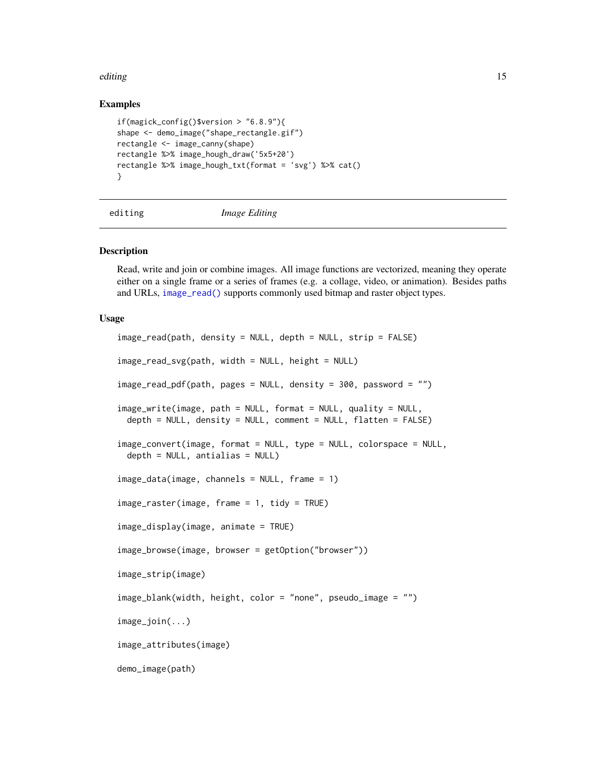#### <span id="page-14-0"></span>editing the state of the state of the state of the state of the state of the state of the state of the state of the state of the state of the state of the state of the state of the state of the state of the state of the st

#### Examples

```
if(magick_config()$version > "6.8.9"){
shape <- demo_image("shape_rectangle.gif")
rectangle <- image_canny(shape)
rectangle %>% image_hough_draw('5x5+20')
rectangle %>% image_hough_txt(format = 'svg') %>% cat()
}
```
<span id="page-14-2"></span>

editing *Image Editing*

#### <span id="page-14-1"></span>Description

Read, write and join or combine images. All image functions are vectorized, meaning they operate either on a single frame or a series of frames (e.g. a collage, video, or animation). Besides paths and URLs, [image\\_read\(\)](#page-14-1) supports commonly used bitmap and raster object types.

#### Usage

```
image_read(path, density = NULL, depth = NULL, strip = FALSE)
image_read_svg(path, width = NULL, height = NULL)
image_read_pdf(path, pages = NULL, density = 300, password = "")
image_write(image, path = NULL, format = NULL, quality = NULL,
 depth = NULL, density = NULL, comment = NULL, filter = FALSE)
image_convert(image, format = NULL, type = NULL, colorspace = NULL,
 depth = NULL, antialias = NULL)
image_data(image, channels = NULL, frame = 1)
image_raster(image, frame = 1, tidy = TRUE)
image_display(image, animate = TRUE)
image_browse(image, browser = getOption("browser"))
image_strip(image)
image_blank(width, height, color = "none", pseudo_image = "")
image_join(...)
image_attributes(image)
demo_image(path)
```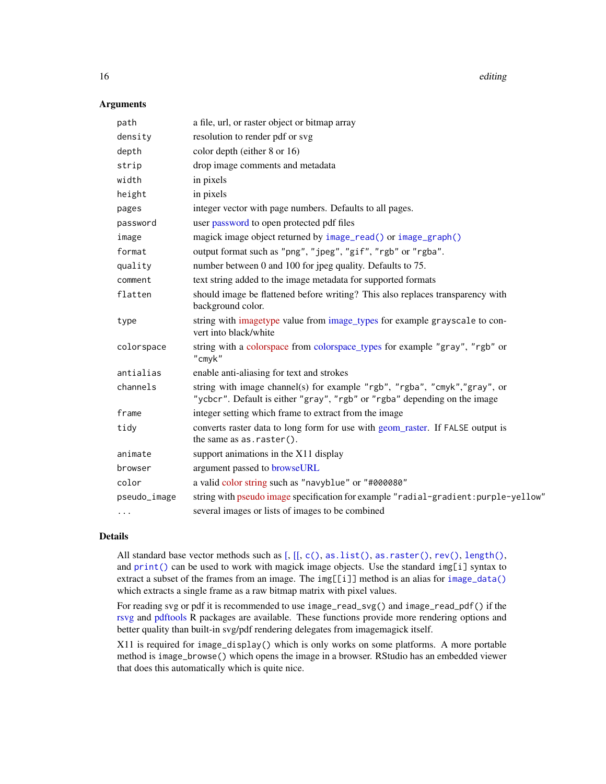16 editing the contract of the contract of the contract of the contract of the contract of the contract of the contract of the contract of the contract of the contract of the contract of the contract of the contract of the

#### **Arguments**

| path         | a file, url, or raster object or bitmap array                                                                                                          |
|--------------|--------------------------------------------------------------------------------------------------------------------------------------------------------|
| density      | resolution to render pdf or svg                                                                                                                        |
| depth        | color depth (either 8 or 16)                                                                                                                           |
| strip        | drop image comments and metadata                                                                                                                       |
| width        | in pixels                                                                                                                                              |
| height       | in pixels                                                                                                                                              |
| pages        | integer vector with page numbers. Defaults to all pages.                                                                                               |
| password     | user password to open protected pdf files                                                                                                              |
| image        | magick image object returned by image_read() or image_graph()                                                                                          |
| format       | output format such as "png", "jpeg", "gif", "rgb" or "rgba".                                                                                           |
| quality      | number between 0 and 100 for jpeg quality. Defaults to 75.                                                                                             |
| comment      | text string added to the image metadata for supported formats                                                                                          |
| flatten      | should image be flattened before writing? This also replaces transparency with<br>background color.                                                    |
| type         | string with imagetype value from image_types for example grayscale to con-<br>vert into black/white                                                    |
| colorspace   | string with a colorspace from colorspace_types for example "gray", "rgb" or<br>"cmyk"                                                                  |
| antialias    | enable anti-aliasing for text and strokes                                                                                                              |
| channels     | string with image channel(s) for example "rgb", "rgba", "cmyk","gray", or<br>"ycbcr". Default is either "gray", "rgb" or "rgba" depending on the image |
| frame        | integer setting which frame to extract from the image                                                                                                  |
| tidy         | converts raster data to long form for use with geom_raster. If FALSE output is<br>the same as $as.raster()$ .                                          |
| animate      | support animations in the X11 display                                                                                                                  |
| browser      | argument passed to browseURL                                                                                                                           |
| color        | a valid color string such as "navyblue" or "#000080"                                                                                                   |
| pseudo_image | string with pseudo image specification for example "radial-gradient: purple-yellow"                                                                    |
| $\ldots$     | several images or lists of images to be combined                                                                                                       |

## Details

All standard base vector methods such as [\[,](#page-0-0) [\[\[,](#page-0-0) [c\(\)](#page-0-0), [as.list\(\)](#page-0-0), [as.raster\(\)](#page-0-0), [rev\(\)](#page-0-0), [length\(\)](#page-0-0), and  $print()$  can be used to work with magick image objects. Use the standard  $img[i]$  syntax to extract a subset of the frames from an image. The img[[i]] method is an alias for [image\\_data\(\)](#page-14-1) which extracts a single frame as a raw bitmap matrix with pixel values.

For reading svg or pdf it is recommended to use image\_read\_svg() and image\_read\_pdf() if the [rsvg](#page-0-0) and [pdftools](#page-0-0) R packages are available. These functions provide more rendering options and better quality than built-in svg/pdf rendering delegates from imagemagick itself.

X11 is required for image\_display() which is only works on some platforms. A more portable method is image\_browse() which opens the image in a browser. RStudio has an embedded viewer that does this automatically which is quite nice.

<span id="page-15-0"></span>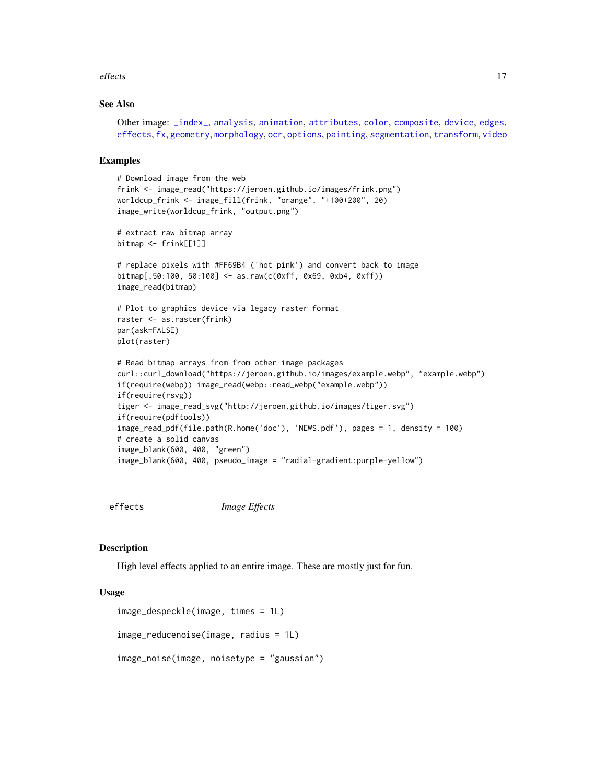#### <span id="page-16-0"></span>effects and the set of the set of the set of the set of the set of the set of the set of the set of the set of the set of the set of the set of the set of the set of the set of the set of the set of the set of the set of t

## See Also

Other image: [\\_index\\_](#page-30-1), [analysis](#page-1-2), [animation](#page-2-1), [attributes](#page-5-1), [color](#page-7-1), [composite](#page-10-1), [device](#page-11-2), [edges](#page-13-1), [effects](#page-16-1), [fx](#page-17-1), [geometry](#page-18-1), [morphology](#page-20-1), [ocr](#page-21-1), [options](#page-22-2), [painting](#page-23-1), [segmentation](#page-24-1), [transform](#page-27-1), [video](#page-29-1)

#### Examples

```
# Download image from the web
frink <- image_read("https://jeroen.github.io/images/frink.png")
worldcup_frink <- image_fill(frink, "orange", "+100+200", 20)
image_write(worldcup_frink, "output.png")
# extract raw bitmap array
bitmap <- frink[[1]]
# replace pixels with #FF69B4 ('hot pink') and convert back to image
bitmap[,50:100, 50:100] <- as.raw(c(0xff, 0x69, 0xb4, 0xff))
image_read(bitmap)
# Plot to graphics device via legacy raster format
raster <- as.raster(frink)
par(ask=FALSE)
plot(raster)
# Read bitmap arrays from from other image packages
curl::curl_download("https://jeroen.github.io/images/example.webp", "example.webp")
if(require(webp)) image_read(webp::read_webp("example.webp"))
if(require(rsvg))
tiger <- image_read_svg("http://jeroen.github.io/images/tiger.svg")
if(require(pdftools))
image_read_pdf(file.path(R.home('doc'), 'NEWS.pdf'), pages = 1, density = 100)
# create a solid canvas
image_blank(600, 400, "green")
image_blank(600, 400, pseudo_image = "radial-gradient:purple-yellow")
```
<span id="page-16-1"></span>effects *Image Effects*

#### **Description**

High level effects applied to an entire image. These are mostly just for fun.

#### Usage

```
image_despeckle(image, times = 1L)
image_reducenoise(image, radius = 1L)
image_noise(image, noisetype = "gaussian")
```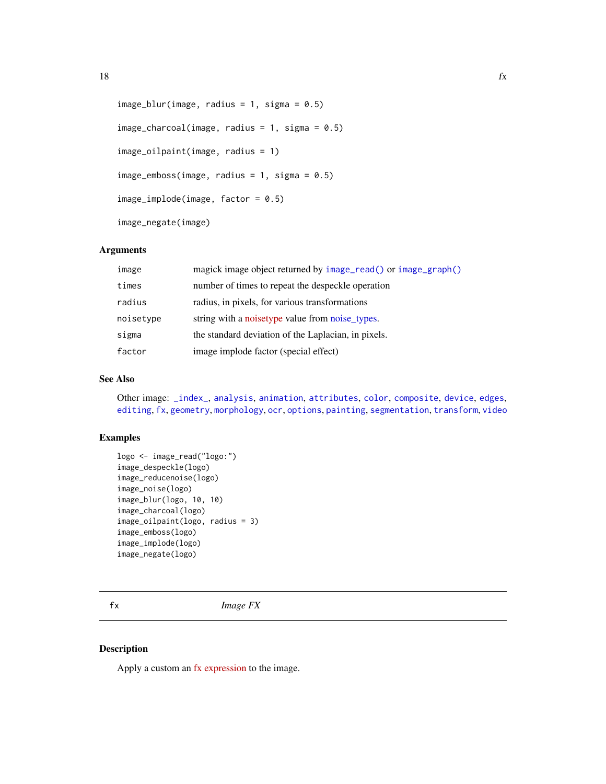```
image_blur(image, radius = 1, sigma = 0.5)
image_{charcoal}(image, radius = 1, sigma = 0.5)
image_oilpaint(image, radius = 1)
image_emboss(image, radius = 1, sigma = 0.5)
image_implode(image, factor = 0.5)
image_negate(image)
```
## Arguments

| image     | magick image object returned by image_read() or image_graph() |
|-----------|---------------------------------------------------------------|
| times     | number of times to repeat the despeckle operation             |
| radius    | radius, in pixels, for various transformations                |
| noisetype | string with a noisetype value from noise_types.               |
| sigma     | the standard deviation of the Laplacian, in pixels.           |
| factor    | image implode factor (special effect)                         |

#### See Also

Other image: [\\_index\\_](#page-30-1), [analysis](#page-1-2), [animation](#page-2-1), [attributes](#page-5-1), [color](#page-7-1), [composite](#page-10-1), [device](#page-11-2), [edges](#page-13-1), [editing](#page-14-2), [fx](#page-17-1), [geometry](#page-18-1), [morphology](#page-20-1), [ocr](#page-21-1), [options](#page-22-2), [painting](#page-23-1), [segmentation](#page-24-1), [transform](#page-27-1), [video](#page-29-1)

#### Examples

```
logo <- image_read("logo:")
image_despeckle(logo)
image_reducenoise(logo)
image_noise(logo)
image_blur(logo, 10, 10)
image_charcoal(logo)
image_oilpaint(logo, radius = 3)
image_emboss(logo)
image_implode(logo)
image_negate(logo)
```
<span id="page-17-1"></span>fx *Image FX*

#### Description

Apply a custom an [fx expression](https://www.imagemagick.org/script/fx.php) to the image.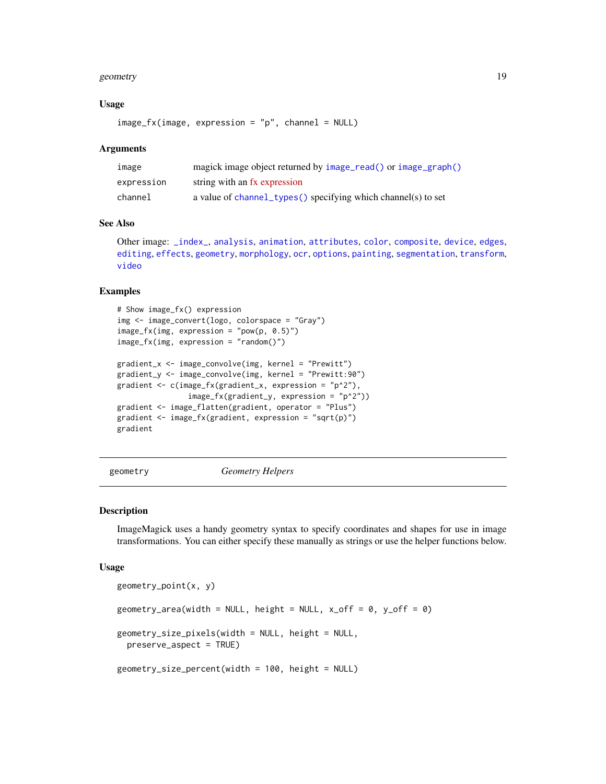#### <span id="page-18-0"></span>geometry and the set of the set of the set of the set of the set of the set of the set of the set of the set of the set of the set of the set of the set of the set of the set of the set of the set of the set of the set of

#### Usage

 $image_f x$ (image, expression = "p", channel = NULL)

#### Arguments

| image      | magick image object returned by image_read() or image_graph() |
|------------|---------------------------------------------------------------|
| expression | string with an fx expression                                  |
| channel    | a value of channel_types() specifying which channel(s) to set |

## See Also

Other image: [\\_index\\_](#page-30-1), [analysis](#page-1-2), [animation](#page-2-1), [attributes](#page-5-1), [color](#page-7-1), [composite](#page-10-1), [device](#page-11-2), [edges](#page-13-1), [editing](#page-14-2), [effects](#page-16-1), [geometry](#page-18-1), [morphology](#page-20-1), [ocr](#page-21-1), [options](#page-22-2), [painting](#page-23-1), [segmentation](#page-24-1), [transform](#page-27-1), [video](#page-29-1)

#### Examples

```
# Show image_fx() expression
img <- image_convert(logo, colorspace = "Gray")
image_f x (img, expression = "pow(p, 0.5)")image_fx(img, expression = "random()")
gradient_x <- image_convolve(img, kernel = "Prewitt")
gradient_y <- image_convolve(img, kernel = "Prewitt:90")
gradient <- c(image_fx(gradient_x, expression = "p^2"),
                image_fx(gradient_y, expression = "p^2"))
gradient <- image_flatten(gradient, operator = "Plus")
gradient <- image_fx(gradient, expression = "sqrt(p)")
gradient
```
<span id="page-18-1"></span>geometry *Geometry Helpers*

#### <span id="page-18-2"></span>Description

ImageMagick uses a handy geometry syntax to specify coordinates and shapes for use in image transformations. You can either specify these manually as strings or use the helper functions below.

#### Usage

```
geometry_point(x, y)
geometry_area(width = NULL, height = NULL, x_{of}f = 0, y_{of}f = 0)
geometry_size_pixels(width = NULL, height = NULL,
 preserve_aspect = TRUE)
geometry_size_percent(width = 100, height = NULL)
```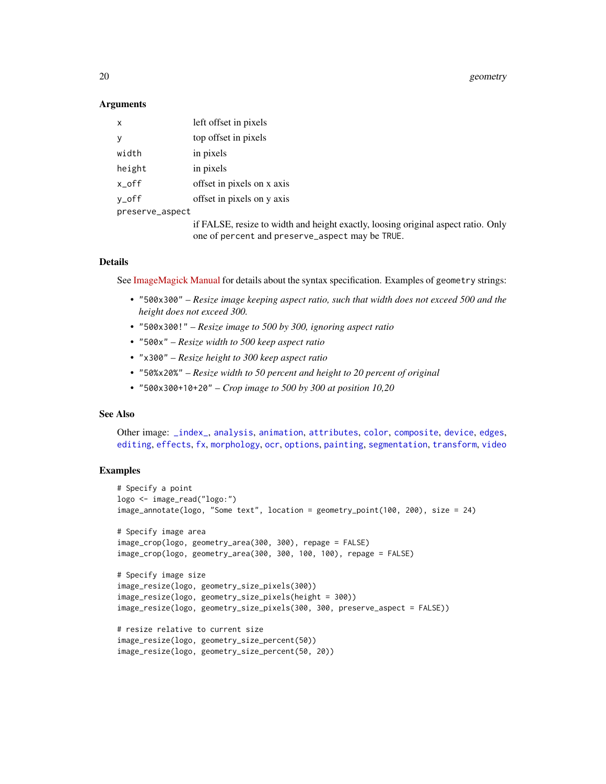20 geometry and the second second second second second second second second second second second second second second second second second second second second second second second second second second second second second

#### **Arguments**

| top offset in pixels<br>in pixels<br>in pixels<br>offset in pixels on x axis<br>offset in pixels on y axis<br>preserve_aspect<br>one of percent and preserve_aspect may be TRUE. | x      | left offset in pixels                                                             |
|----------------------------------------------------------------------------------------------------------------------------------------------------------------------------------|--------|-----------------------------------------------------------------------------------|
|                                                                                                                                                                                  | y      |                                                                                   |
|                                                                                                                                                                                  | width  |                                                                                   |
|                                                                                                                                                                                  | height |                                                                                   |
|                                                                                                                                                                                  | x_off  |                                                                                   |
|                                                                                                                                                                                  | y_off  |                                                                                   |
|                                                                                                                                                                                  |        |                                                                                   |
|                                                                                                                                                                                  |        | if FALSE, resize to width and height exactly, loosing original aspect ratio. Only |

## Details

See [ImageMagick Manual](http://www.imagemagick.org/Magick++/Geometry.html) for details about the syntax specification. Examples of geometry strings:

- "500x300" *Resize image keeping aspect ratio, such that width does not exceed 500 and the height does not exceed 300.*
- "500x300!" *Resize image to 500 by 300, ignoring aspect ratio*
- "500x" *Resize width to 500 keep aspect ratio*
- "x300" *Resize height to 300 keep aspect ratio*
- "50%x20%" *Resize width to 50 percent and height to 20 percent of original*
- "500x300+10+20" *Crop image to 500 by 300 at position 10,20*

## See Also

Other image: [\\_index\\_](#page-30-1), [analysis](#page-1-2), [animation](#page-2-1), [attributes](#page-5-1), [color](#page-7-1), [composite](#page-10-1), [device](#page-11-2), [edges](#page-13-1), [editing](#page-14-2), [effects](#page-16-1), [fx](#page-17-1), [morphology](#page-20-1), [ocr](#page-21-1), [options](#page-22-2), [painting](#page-23-1), [segmentation](#page-24-1), [transform](#page-27-1), [video](#page-29-1)

#### Examples

```
# Specify a point
logo <- image_read("logo:")
image_annotate(logo, "Some text", location = geometry_point(100, 200), size = 24)
# Specify image area
image_crop(logo, geometry_area(300, 300), repage = FALSE)
image_crop(logo, geometry_area(300, 300, 100, 100), repage = FALSE)
# Specify image size
image_resize(logo, geometry_size_pixels(300))
image_resize(logo, geometry_size_pixels(height = 300))
image_resize(logo, geometry_size_pixels(300, 300, preserve_aspect = FALSE))
# resize relative to current size
image_resize(logo, geometry_size_percent(50))
image_resize(logo, geometry_size_percent(50, 20))
```
<span id="page-19-0"></span>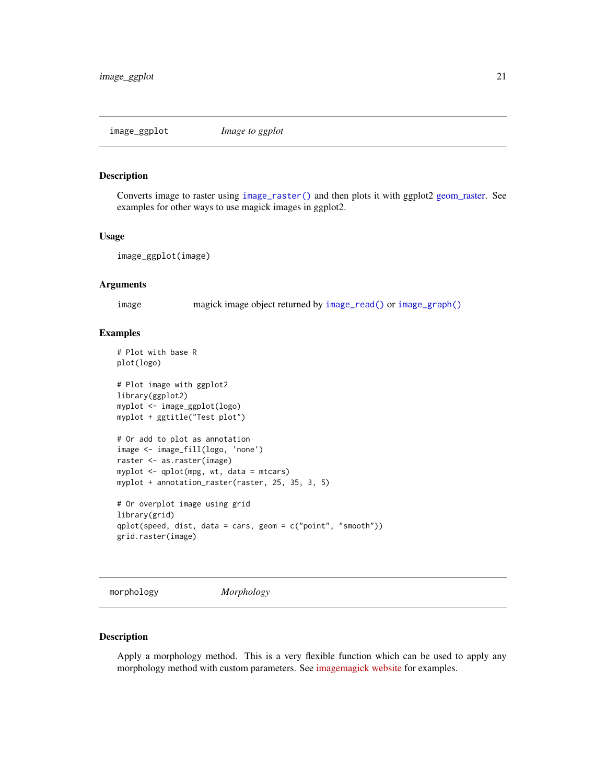<span id="page-20-0"></span>

#### Description

Converts image to raster using [image\\_raster\(\)](#page-14-1) and then plots it with ggplot2 [geom\\_raster.](#page-0-0) See examples for other ways to use magick images in ggplot2.

#### Usage

image\_ggplot(image)

#### Arguments

image magick image object returned by [image\\_read\(\)](#page-14-1) or [image\\_graph\(\)](#page-11-1)

## Examples

```
# Plot with base R
plot(logo)
# Plot image with ggplot2
library(ggplot2)
myplot <- image_ggplot(logo)
myplot + ggtitle("Test plot")
# Or add to plot as annotation
image <- image_fill(logo, 'none')
raster <- as.raster(image)
myplot <- qplot(mpg, wt, data = mtcars)
myplot + annotation_raster(raster, 25, 35, 3, 5)
# Or overplot image using grid
library(grid)
qplot(speed, dist, data = cars, geom = c("point", "smooth"))
grid.raster(image)
```
<span id="page-20-1"></span>morphology *Morphology*

#### Description

Apply a morphology method. This is a very flexible function which can be used to apply any morphology method with custom parameters. See [imagemagick website](http://www.imagemagick.org/Usage/morphology/) for examples.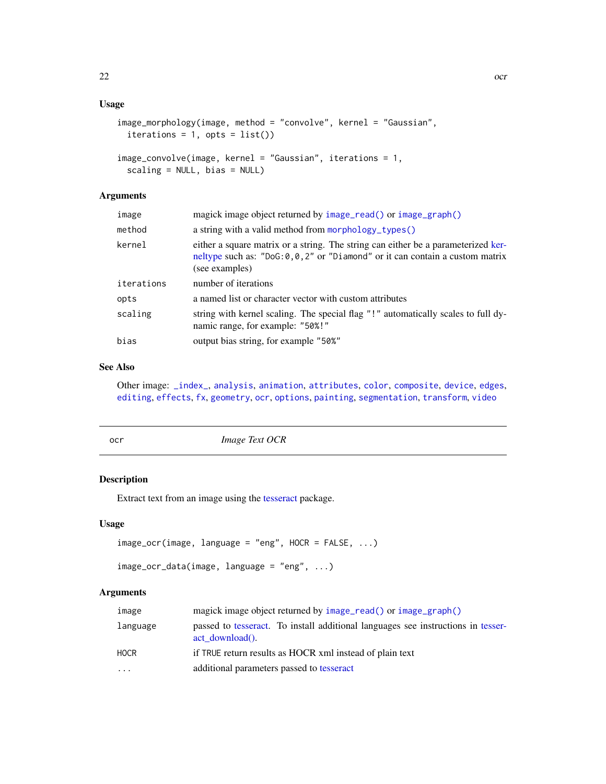## <span id="page-21-0"></span>Usage

```
image_morphology(image, method = "convolve", kernel = "Gaussian",
 iterations = 1, opts = list()image_convolve(image, kernel = "Gaussian", iterations = 1,
```

```
scaling = NULL, bias = NULL)
```
## Arguments

| image      | magick image object returned by image_read() or image_graph()                                                                                                                             |
|------------|-------------------------------------------------------------------------------------------------------------------------------------------------------------------------------------------|
| method     | a string with a valid method from morphology_types()                                                                                                                                      |
| kernel     | either a square matrix or a string. The string can either be a parameterized ker-<br>neltype such as: $"DoG: 0, 0, 2"$ or $"Diamond"$ or it can contain a custom matrix<br>(see examples) |
| iterations | number of iterations                                                                                                                                                                      |
| opts       | a named list or character vector with custom attributes                                                                                                                                   |
| scaling    | string with kernel scaling. The special flag "!" automatically scales to full dy-<br>namic range, for example: "50%!"                                                                     |
| bias       | output bias string, for example "50%"                                                                                                                                                     |

## See Also

Other image: [\\_index\\_](#page-30-1), [analysis](#page-1-2), [animation](#page-2-1), [attributes](#page-5-1), [color](#page-7-1), [composite](#page-10-1), [device](#page-11-2), [edges](#page-13-1), [editing](#page-14-2), [effects](#page-16-1), [fx](#page-17-1), [geometry](#page-18-1), [ocr](#page-21-1), [options](#page-22-2), [painting](#page-23-1), [segmentation](#page-24-1), [transform](#page-27-1), [video](#page-29-1)

<span id="page-21-1"></span>

| Image Text OCR<br>ocr |  |
|-----------------------|--|
|-----------------------|--|

## Description

Extract text from an image using the [tesseract](#page-0-0) package.

## Usage

```
image_ocr(image, language = "eng", HOCR = FALSE, ...)
```

```
image_ocr_data(image, language = "eng", ...)
```
## Arguments

| image       | magick image object returned by image_read() or image_graph()                                          |
|-------------|--------------------------------------------------------------------------------------------------------|
| language    | passed to tesseract. To install additional languages see instructions in tesser-<br>$act download()$ . |
| <b>HOCR</b> | if TRUE return results as HOCR xml instead of plain text                                               |
| $\cdots$    | additional parameters passed to tesseract                                                              |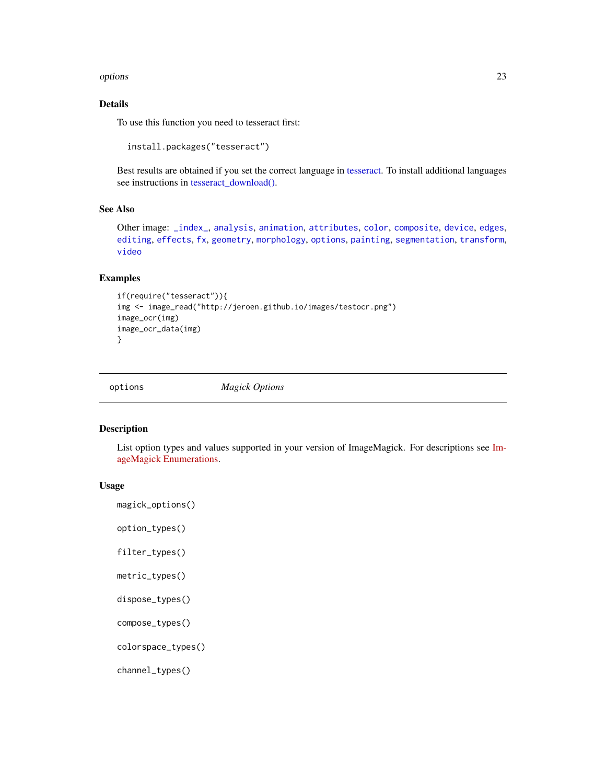#### <span id="page-22-0"></span>options 23

## Details

To use this function you need to tesseract first:

```
install.packages("tesseract")
```
Best results are obtained if you set the correct language in [tesseract.](#page-0-0) To install additional languages see instructions in [tesseract\\_download\(\).](#page-0-0)

#### See Also

```
Other image: _index_, analysis, animation, attributes, color, composite, device, edges,
editing, effects, fx, geometry, morphology, options, painting, segmentation, transform,
video
```
## Examples

```
if(require("tesseract")){
img <- image_read("http://jeroen.github.io/images/testocr.png")
image_ocr(img)
image_ocr_data(img)
}
```
<span id="page-22-2"></span>options *Magick Options*

#### <span id="page-22-1"></span>Description

List option types and values supported in your version of ImageMagick. For descriptions see [Im](https://www.imagemagick.org/Magick++/Enumerations.html)[ageMagick Enumerations.](https://www.imagemagick.org/Magick++/Enumerations.html)

#### Usage

magick\_options()

option\_types()

filter\_types()

metric\_types()

dispose\_types()

compose\_types()

colorspace\_types()

channel\_types()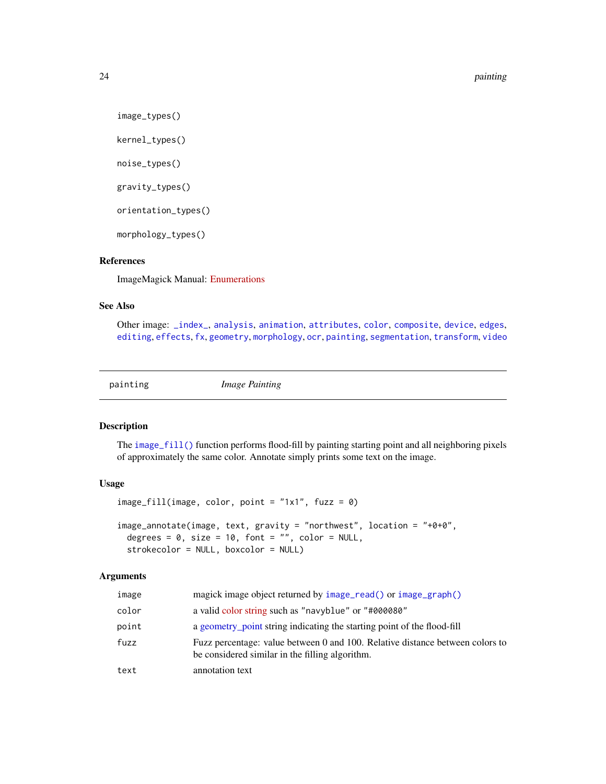<span id="page-23-0"></span>24 painting the contract of the contract of the contract of the contract of the contract of the contract of the contract of the contract of the contract of the contract of the contract of the contract of the contract of th

image\_types()

kernel\_types()

noise\_types()

gravity\_types()

orientation\_types()

morphology\_types()

## References

ImageMagick Manual: [Enumerations](https://www.imagemagick.org/Magick++/Enumerations.html)

## See Also

Other image: [\\_index\\_](#page-30-1), [analysis](#page-1-2), [animation](#page-2-1), [attributes](#page-5-1), [color](#page-7-1), [composite](#page-10-1), [device](#page-11-2), [edges](#page-13-1), [editing](#page-14-2), [effects](#page-16-1), [fx](#page-17-1), [geometry](#page-18-1), [morphology](#page-20-1), [ocr](#page-21-1), [painting](#page-23-1), [segmentation](#page-24-1), [transform](#page-27-1), [video](#page-29-1)

<span id="page-23-1"></span>

painting *Image Painting*

#### <span id="page-23-2"></span>Description

The [image\\_fill\(\)](#page-23-2) function performs flood-fill by painting starting point and all neighboring pixels of approximately the same color. Annotate simply prints some text on the image.

#### Usage

```
image_fill(image, color, point = "1x1", fuzz = 0)
image_annotate(image, text, gravity = "northwest", location = "+0+0",
 degrees = 0, size = 10, font = "", color = NULL,
 strokecolor = NULL, boxcolor = NULL)
```
#### Arguments

| image | magick image object returned by image_read() or image_graph()                                                                    |
|-------|----------------------------------------------------------------------------------------------------------------------------------|
| color | a valid color string such as "navyblue" or "#000080"                                                                             |
| point | a geometry point string indicating the starting point of the flood-fill                                                          |
| fuzz  | Fuzz percentage: value between 0 and 100. Relative distance between colors to<br>be considered similar in the filling algorithm. |
| text  | annotation text                                                                                                                  |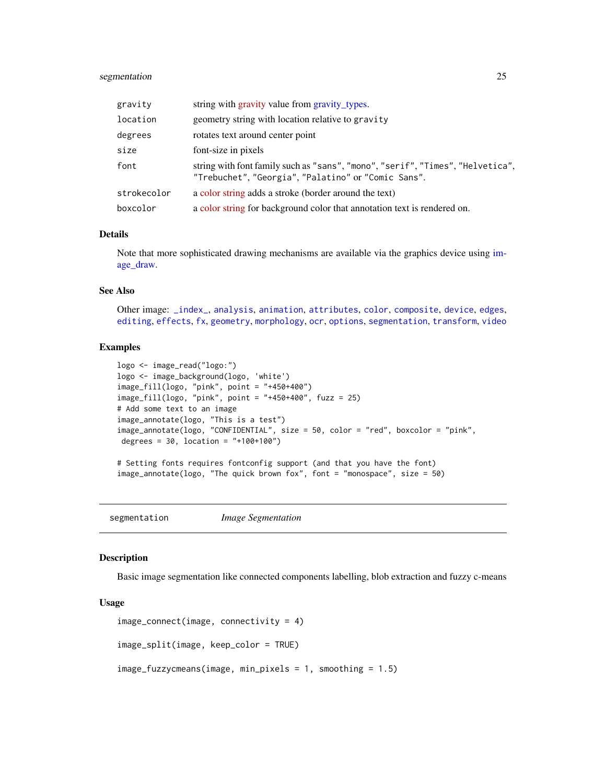## <span id="page-24-0"></span>segmentation 25

| gravity     | string with gravity value from gravity_types.                                                                                         |
|-------------|---------------------------------------------------------------------------------------------------------------------------------------|
| location    | geometry string with location relative to gravity                                                                                     |
| degrees     | rotates text around center point                                                                                                      |
| size        | font-size in pixels                                                                                                                   |
| font        | string with font family such as "sans", "mono", "serif", "Times", "Helvetica",<br>"Trebuchet", "Georgia", "Palatino" or "Comic Sans". |
| strokecolor | a color string adds a stroke (border around the text)                                                                                 |
| boxcolor    | a color string for background color that annotation text is rendered on.                                                              |

### Details

Note that more sophisticated drawing mechanisms are available via the graphics device using [im](#page-11-1)[age\\_draw.](#page-11-1)

## See Also

Other image: [\\_index\\_](#page-30-1), [analysis](#page-1-2), [animation](#page-2-1), [attributes](#page-5-1), [color](#page-7-1), [composite](#page-10-1), [device](#page-11-2), [edges](#page-13-1), [editing](#page-14-2), [effects](#page-16-1), [fx](#page-17-1), [geometry](#page-18-1), [morphology](#page-20-1), [ocr](#page-21-1), [options](#page-22-2), [segmentation](#page-24-1), [transform](#page-27-1), [video](#page-29-1)

## Examples

```
logo <- image_read("logo:")
logo <- image_background(logo, 'white')
image_fill(logo, "pink", point = "+450+400")
image_fill(logo, "pink", point = "+450+400", fuzz = 25)
# Add some text to an image
image_annotate(logo, "This is a test")
image_annotate(logo, "CONFIDENTIAL", size = 50, color = "red", boxcolor = "pink",
degrees = 30, location = "+100+100")
# Setting fonts requires fontconfig support (and that you have the font)
image_annotate(logo, "The quick brown fox", font = "monospace", size = 50)
```
<span id="page-24-1"></span>

segmentation *Image Segmentation*

## <span id="page-24-2"></span>Description

Basic image segmentation like connected components labelling, blob extraction and fuzzy c-means

#### Usage

```
image_connect(image, connectivity = 4)
image_split(image, keep_color = TRUE)
image_fuzzycmeans(image, min_pixels = 1, smoothing = 1.5)
```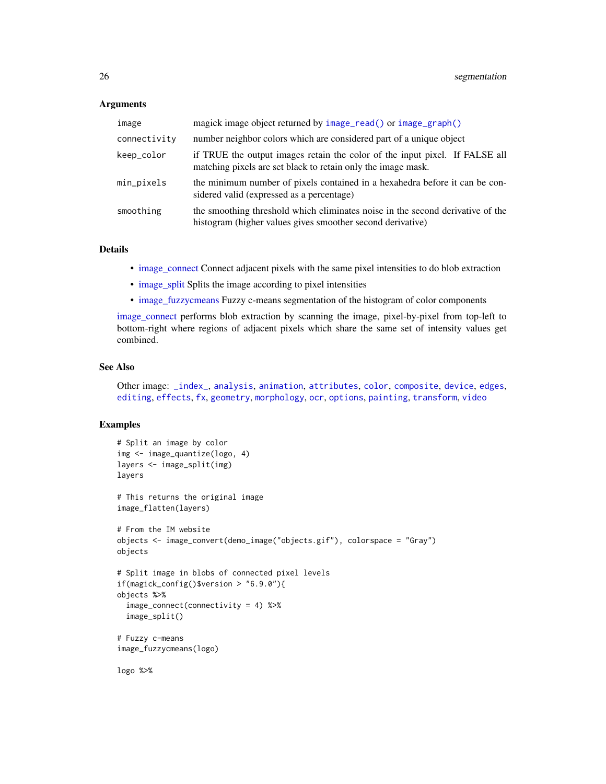#### <span id="page-25-0"></span>**Arguments**

| image        | magick image object returned by image_read() or image_graph()                                                                                |
|--------------|----------------------------------------------------------------------------------------------------------------------------------------------|
| connectivity | number neighbor colors which are considered part of a unique object                                                                          |
| keep_color   | if TRUE the output images retain the color of the input pixel. If FALSE all<br>matching pixels are set black to retain only the image mask.  |
| min_pixels   | the minimum number of pixels contained in a hexahedra before it can be con-<br>sidered valid (expressed as a percentage)                     |
| smoothing    | the smoothing threshold which eliminates noise in the second derivative of the<br>histogram (higher values gives smoother second derivative) |

#### Details

- [image\\_connect](#page-24-2) Connect adjacent pixels with the same pixel intensities to do blob extraction
- [image\\_split](#page-24-2) Splits the image according to pixel intensities
- [image\\_fuzzycmeans](#page-24-2) Fuzzy c-means segmentation of the histogram of color components

[image\\_connect](#page-24-2) performs blob extraction by scanning the image, pixel-by-pixel from top-left to bottom-right where regions of adjacent pixels which share the same set of intensity values get combined.

#### See Also

Other image: [\\_index\\_](#page-30-1), [analysis](#page-1-2), [animation](#page-2-1), [attributes](#page-5-1), [color](#page-7-1), [composite](#page-10-1), [device](#page-11-2), [edges](#page-13-1), [editing](#page-14-2), [effects](#page-16-1), [fx](#page-17-1), [geometry](#page-18-1), [morphology](#page-20-1), [ocr](#page-21-1), [options](#page-22-2), [painting](#page-23-1), [transform](#page-27-1), [video](#page-29-1)

## Examples

```
# Split an image by color
img <- image_quantize(logo, 4)
layers <- image_split(img)
layers
# This returns the original image
image_flatten(layers)
# From the IM website
objects <- image_convert(demo_image("objects.gif"), colorspace = "Gray")
objects
# Split image in blobs of connected pixel levels
if(magick_config()$version > "6.9.0"){
objects %>%
 image_connect(connectivity = 4) %>%
 image_split()
# Fuzzy c-means
image_fuzzycmeans(logo)
```
logo %>%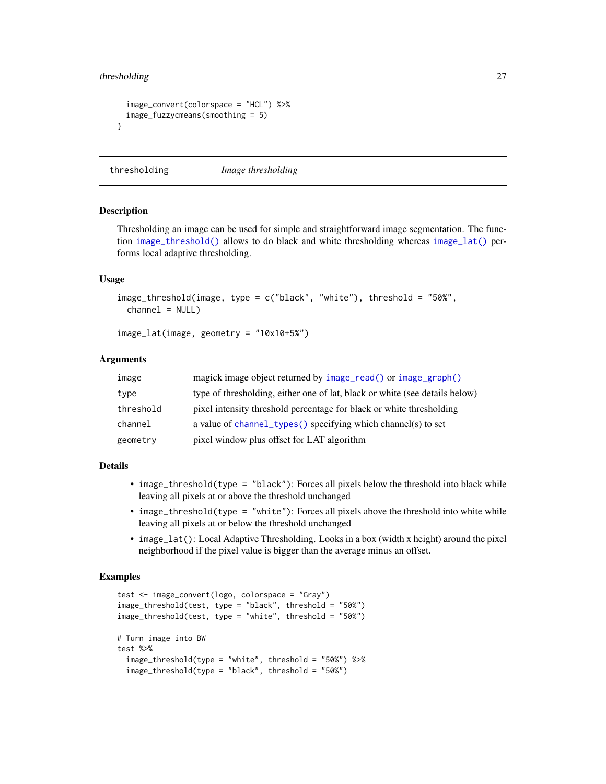## <span id="page-26-0"></span>thresholding 27

```
image_convert(colorspace = "HCL") %>%
 image_fuzzycmeans(smoothing = 5)
}
```
thresholding *Image thresholding*

#### <span id="page-26-1"></span>Description

Thresholding an image can be used for simple and straightforward image segmentation. The function [image\\_threshold\(\)](#page-26-1) allows to do black and white thresholding whereas [image\\_lat\(\)](#page-26-1) performs local adaptive thresholding.

#### Usage

```
image_threshold(image, type = c("black", "white"), threshold = "50%",
 channel = NULL
```

```
image_lat(image, geometry = "10x10+5%")
```
#### Arguments

| image     | magick image object returned by image_read() or image_graph()               |
|-----------|-----------------------------------------------------------------------------|
| type      | type of thresholding, either one of lat, black or white (see details below) |
| threshold | pixel intensity threshold percentage for black or white thresholding        |
| channel   | a value of channel_types() specifying which channel(s) to set               |
| geometry  | pixel window plus offset for LAT algorithm                                  |

#### Details

- image\_threshold(type = "black"): Forces all pixels below the threshold into black while leaving all pixels at or above the threshold unchanged
- image\_threshold(type = "white"): Forces all pixels above the threshold into white while leaving all pixels at or below the threshold unchanged
- image\_lat(): Local Adaptive Thresholding. Looks in a box (width x height) around the pixel neighborhood if the pixel value is bigger than the average minus an offset.

#### Examples

```
test <- image_convert(logo, colorspace = "Gray")
image_threshold(test, type = "black", threshold = "50%")
image_threshold(test, type = "white", threshold = "50%")
# Turn image into BW
test %>%
 image_threshold(type = "white", threshold = "50%") %>%
 image_threshold(type = "black", threshold = "50%")
```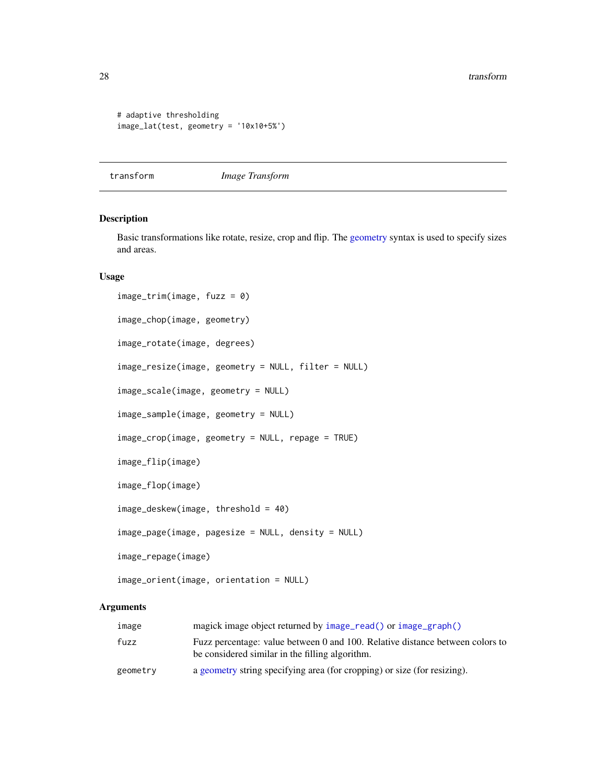```
# adaptive thresholding
image_lat(test, geometry = '10x10+5%')
```
#### <span id="page-27-1"></span>transform *Image Transform*

## <span id="page-27-2"></span>Description

Basic transformations like rotate, resize, crop and flip. The [geometry](#page-18-1) syntax is used to specify sizes and areas.

## Usage

```
image_trim(image, fuzz = 0)
image_chop(image, geometry)
image_rotate(image, degrees)
image_resize(image, geometry = NULL, filter = NULL)
image_scale(image, geometry = NULL)
image_sample(image, geometry = NULL)
image_crop(image, geometry = NULL, repage = TRUE)
image_flip(image)
image_flop(image)
image_deskew(image, threshold = 40)
image_page(image, pagesize = NULL, density = NULL)
image_repage(image)
image_orient(image, orientation = NULL)
```
## Arguments

| image    | magick image object returned by image_read() or image_graph()                                                                    |
|----------|----------------------------------------------------------------------------------------------------------------------------------|
| fuzz     | Fuzz percentage: value between 0 and 100. Relative distance between colors to<br>be considered similar in the filling algorithm. |
| geometry | a geometry string specifying area (for cropping) or size (for resizing).                                                         |

<span id="page-27-0"></span>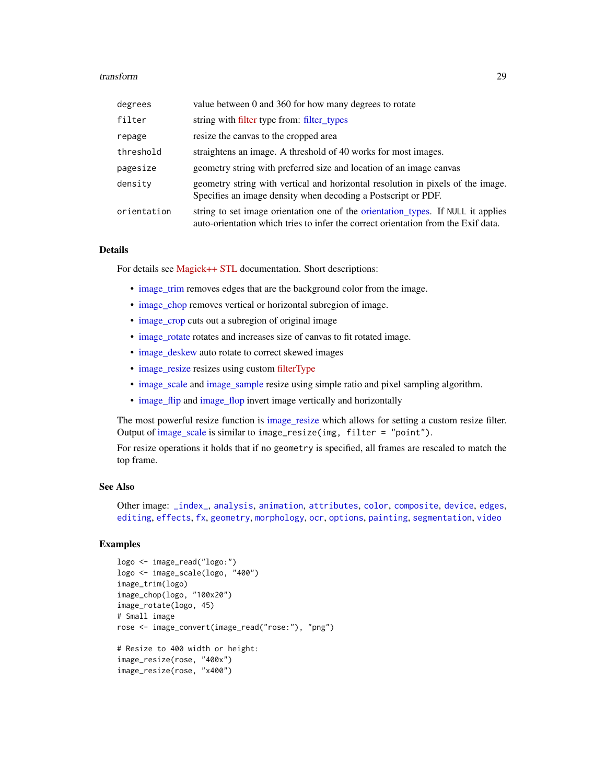#### <span id="page-28-0"></span>transform 29

| degrees     | value between 0 and 360 for how many degrees to rotate                                                                                                                |
|-------------|-----------------------------------------------------------------------------------------------------------------------------------------------------------------------|
| filter      | string with filter type from: filter_types                                                                                                                            |
| repage      | resize the canvas to the cropped area                                                                                                                                 |
| threshold   | straightens an image. A threshold of 40 works for most images.                                                                                                        |
| pagesize    | geometry string with preferred size and location of an image canvas                                                                                                   |
| density     | geometry string with vertical and horizontal resolution in pixels of the image.<br>Specifies an image density when decoding a Postscript or PDF.                      |
| orientation | string to set image orientation one of the orientation types. If NULL it applies<br>auto-orientation which tries to infer the correct orientation from the Exif data. |

## Details

For details see [Magick++ STL](https://www.imagemagick.org/Magick++/STL.html) documentation. Short descriptions:

- [image\\_trim](#page-27-2) removes edges that are the background color from the image.
- [image\\_chop](#page-27-2) removes vertical or horizontal subregion of image.
- [image\\_crop](#page-27-2) cuts out a subregion of original image
- [image\\_rotate](#page-27-2) rotates and increases size of canvas to fit rotated image.
- [image\\_deskew](#page-27-2) auto rotate to correct skewed images
- [image\\_resize](#page-27-2) resizes using custom [filterType](https://www.imagemagick.org/Magick++/Enumerations.html#FilterTypes)
- [image\\_scale](#page-27-2) and [image\\_sample](#page-27-2) resize using simple ratio and pixel sampling algorithm.
- [image\\_flip](#page-27-2) and [image\\_flop](#page-27-2) invert image vertically and horizontally

The most powerful resize function is image resize which allows for setting a custom resize filter. Output of [image\\_scale](#page-27-2) is similar to image\_resize(img, filter = "point").

For resize operations it holds that if no geometry is specified, all frames are rescaled to match the top frame.

## See Also

Other image: [\\_index\\_](#page-30-1), [analysis](#page-1-2), [animation](#page-2-1), [attributes](#page-5-1), [color](#page-7-1), [composite](#page-10-1), [device](#page-11-2), [edges](#page-13-1), [editing](#page-14-2), [effects](#page-16-1), [fx](#page-17-1), [geometry](#page-18-1), [morphology](#page-20-1), [ocr](#page-21-1), [options](#page-22-2), [painting](#page-23-1), [segmentation](#page-24-1), [video](#page-29-1)

## Examples

```
logo <- image_read("logo:")
logo <- image_scale(logo, "400")
image_trim(logo)
image_chop(logo, "100x20")
image_rotate(logo, 45)
# Small image
rose <- image_convert(image_read("rose:"), "png")
# Resize to 400 width or height:
image_resize(rose, "400x")
image_resize(rose, "x400")
```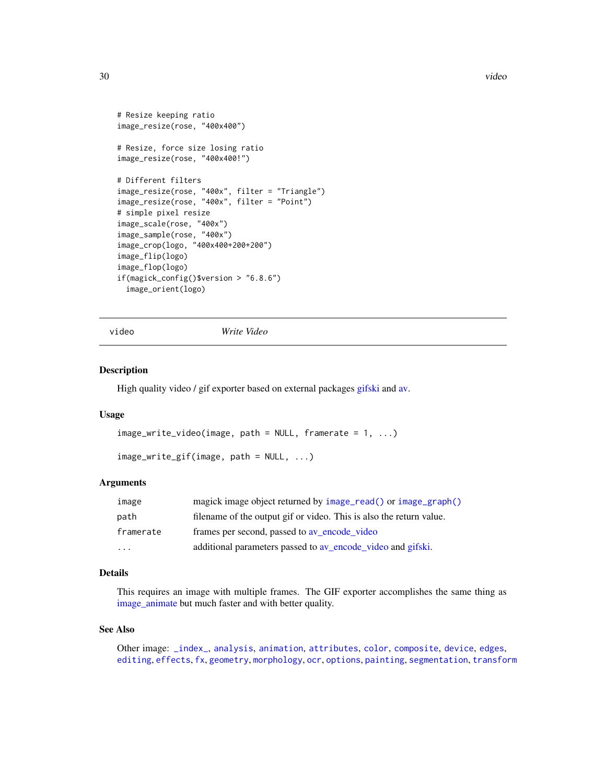```
# Resize keeping ratio
image_resize(rose, "400x400")
# Resize, force size losing ratio
image_resize(rose, "400x400!")
# Different filters
image_resize(rose, "400x", filter = "Triangle")
image_resize(rose, "400x", filter = "Point")
# simple pixel resize
image_scale(rose, "400x")
image_sample(rose, "400x")
image_crop(logo, "400x400+200+200")
image_flip(logo)
image_flop(logo)
if(magick_config()$version > "6.8.6")
 image_orient(logo)
```
video *Write Video*

#### Description

High quality video / gif exporter based on external packages [gifski](#page-0-0) and [av.](#page-0-0)

#### Usage

```
image_write_video(image, path = NULL, framerate = 1, ...)
```
image\_write\_gif(image, path = NULL, ...)

#### Arguments

| image                   | magick image object returned by image_read() or image_graph()       |
|-------------------------|---------------------------------------------------------------------|
| path                    | filename of the output gif or video. This is also the return value. |
| framerate               | frames per second, passed to av encode video                        |
| $\cdot$ $\cdot$ $\cdot$ | additional parameters passed to av_encode_video and gifski.         |

## Details

This requires an image with multiple frames. The GIF exporter accomplishes the same thing as [image\\_animate](#page-2-2) but much faster and with better quality.

## See Also

Other image: [\\_index\\_](#page-30-1), [analysis](#page-1-2), [animation](#page-2-1), [attributes](#page-5-1), [color](#page-7-1), [composite](#page-10-1), [device](#page-11-2), [edges](#page-13-1), [editing](#page-14-2), [effects](#page-16-1), [fx](#page-17-1), [geometry](#page-18-1), [morphology](#page-20-1), [ocr](#page-21-1), [options](#page-22-2), [painting](#page-23-1), [segmentation](#page-24-1), [transform](#page-27-1)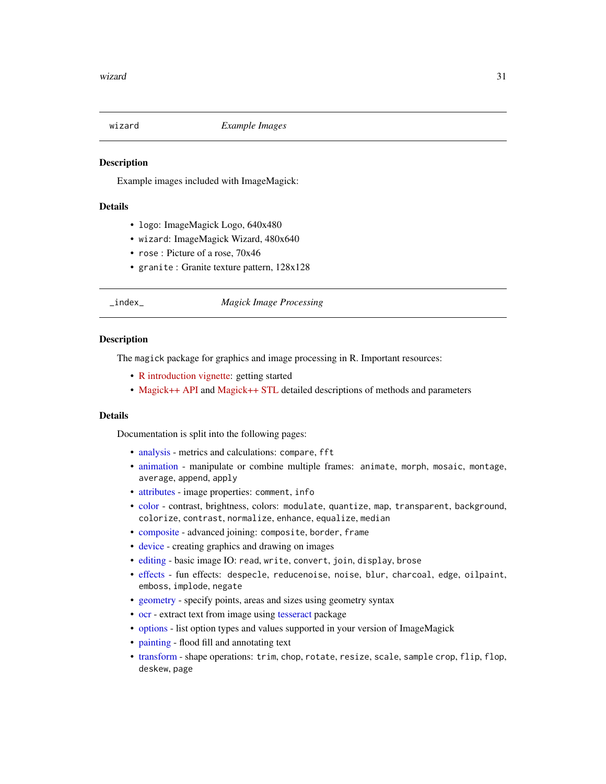<span id="page-30-0"></span>

## **Description**

Example images included with ImageMagick:

## Details

- logo: ImageMagick Logo, 640x480
- wizard: ImageMagick Wizard, 480x640
- rose : Picture of a rose, 70x46
- granite : Granite texture pattern, 128x128

#### <span id="page-30-1"></span>\_index\_ *Magick Image Processing*

#### **Description**

The magick package for graphics and image processing in R. Important resources:

- [R introduction vignette:](https://bit.ly/magickintro) getting started
- [Magick++ API](https://www.imagemagick.org/Magick++/Image++.html) and [Magick++ STL](https://www.imagemagick.org/Magick++/STL.html) detailed descriptions of methods and parameters

#### Details

Documentation is split into the following pages:

- [analysis](#page-1-2) metrics and calculations: compare, fft
- [animation](#page-2-1) manipulate or combine multiple frames: animate, morph, mosaic, montage, average, append, apply
- [attributes](#page-5-1) image properties: comment, info
- [color](#page-7-1) contrast, brightness, colors: modulate, quantize, map, transparent, background, colorize, contrast, normalize, enhance, equalize, median
- [composite](#page-10-1) advanced joining: composite, border, frame
- [device](#page-11-2) creating graphics and drawing on images
- [editing](#page-14-2) basic image IO: read, write, convert, join, display, brose
- [effects](#page-16-1) fun effects: despecle, reducenoise, noise, blur, charcoal, edge, oilpaint, emboss, implode, negate
- [geometry](#page-18-1) specify points, areas and sizes using geometry syntax
- [ocr](#page-21-1) extract text from image using [tesseract](#page-0-0) package
- [options](#page-22-2) list option types and values supported in your version of ImageMagick
- [painting](#page-23-1) flood fill and annotating text
- [transform](#page-27-1) shape operations: trim, chop, rotate, resize, scale, sample crop, flip, flop, deskew, page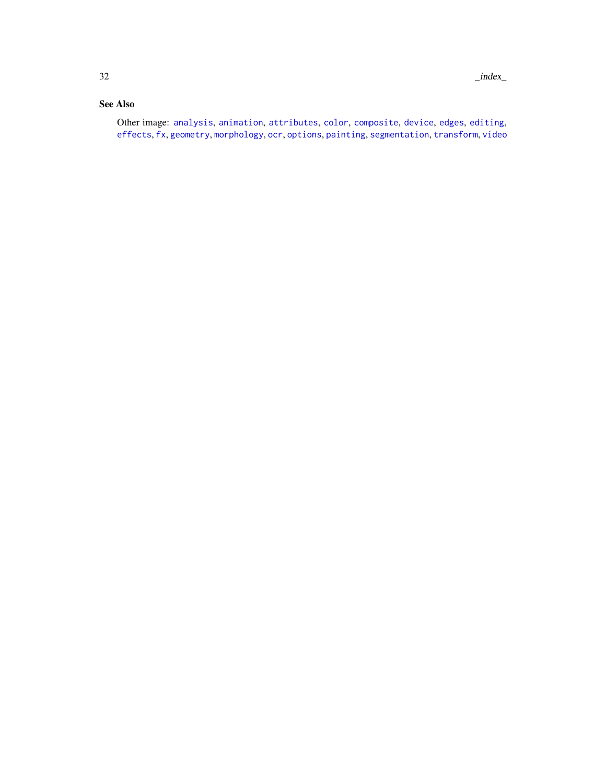## <span id="page-31-0"></span>See Also

Other image: [analysis](#page-1-2), [animation](#page-2-1), [attributes](#page-5-1), [color](#page-7-1), [composite](#page-10-1), [device](#page-11-2), [edges](#page-13-1), [editing](#page-14-2), [effects](#page-16-1), [fx](#page-17-1), [geometry](#page-18-1), [morphology](#page-20-1), [ocr](#page-21-1), [options](#page-22-2), [painting](#page-23-1), [segmentation](#page-24-1), [transform](#page-27-1), [video](#page-29-1)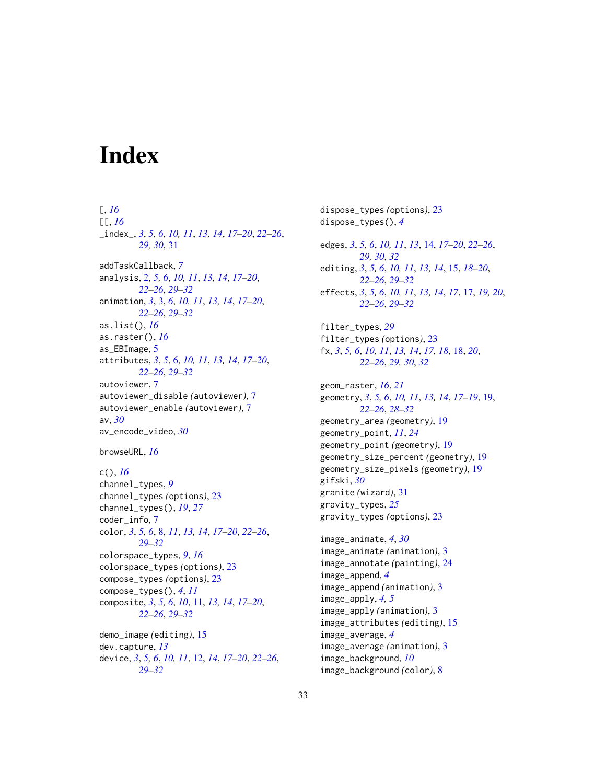# <span id="page-32-0"></span>**Index**

## [, *[16](#page-15-0)* [[, *[16](#page-15-0)* \_index\_, *[3](#page-2-0)*, *[5,](#page-4-0) [6](#page-5-0)*, *[10,](#page-9-0) [11](#page-10-0)*, *[13,](#page-12-0) [14](#page-13-0)*, *[17–](#page-16-0)[20](#page-19-0)*, *[22–](#page-21-0)[26](#page-25-0)*, *[29,](#page-28-0) [30](#page-29-0)*, [31](#page-30-0) addTaskCallback, *[7](#page-6-0)* analysis, [2,](#page-1-0) *[5,](#page-4-0) [6](#page-5-0)*, *[10,](#page-9-0) [11](#page-10-0)*, *[13,](#page-12-0) [14](#page-13-0)*, *[17–](#page-16-0)[20](#page-19-0)*, *[22](#page-21-0)[–26](#page-25-0)*, *[29](#page-28-0)[–32](#page-31-0)* animation, *[3](#page-2-0)*, [3,](#page-2-0) *[6](#page-5-0)*, *[10,](#page-9-0) [11](#page-10-0)*, *[13,](#page-12-0) [14](#page-13-0)*, *[17–](#page-16-0)[20](#page-19-0)*, *[22](#page-21-0)[–26](#page-25-0)*, *[29](#page-28-0)[–32](#page-31-0)* as.list(), *[16](#page-15-0)* as.raster(), *[16](#page-15-0)* as\_EBImage, [5](#page-4-0) attributes, *[3](#page-2-0)*, *[5](#page-4-0)*, [6,](#page-5-0) *[10,](#page-9-0) [11](#page-10-0)*, *[13,](#page-12-0) [14](#page-13-0)*, *[17–](#page-16-0)[20](#page-19-0)*, *[22](#page-21-0)[–26](#page-25-0)*, *[29](#page-28-0)[–32](#page-31-0)* autoviewer, [7](#page-6-0) autoviewer\_disable *(*autoviewer*)*, [7](#page-6-0) autoviewer\_enable *(*autoviewer*)*, [7](#page-6-0) av, *[30](#page-29-0)* av\_encode\_video, *[30](#page-29-0)*

browseURL, *[16](#page-15-0)*

```
c(), 16
channel_types, 9
channel_types (options), 23
channel_types(), 19, 27
coder_info, 7
color, 3, 5, 6, 8, 11, 13, 14, 17–20, 22–26,
         29–32
colorspace_types, 9, 16
colorspace_types (options), 23
compose_types (options), 23
compose_types(), 4, 11
composite, 3, 5, 6, 10, 11, 13, 14, 17–20,
        22–26, 29–32
demo_image (editing), 15
dev.capture, 13
```

```
device, 3, 5, 6, 10, 11, 12, 14, 17–20, 22–26,
         29–32
```
dispose\_types *(*options*)*, [23](#page-22-0) dispose\_types(), *[4](#page-3-0)* edges, *[3](#page-2-0)*, *[5,](#page-4-0) [6](#page-5-0)*, *[10,](#page-9-0) [11](#page-10-0)*, *[13](#page-12-0)*, [14,](#page-13-0) *[17](#page-16-0)[–20](#page-19-0)*, *[22](#page-21-0)[–26](#page-25-0)*, *[29,](#page-28-0) [30](#page-29-0)*, *[32](#page-31-0)* editing, *[3](#page-2-0)*, *[5,](#page-4-0) [6](#page-5-0)*, *[10,](#page-9-0) [11](#page-10-0)*, *[13,](#page-12-0) [14](#page-13-0)*, [15,](#page-14-0) *[18](#page-17-0)[–20](#page-19-0)*, *[22](#page-21-0)[–26](#page-25-0)*, *[29](#page-28-0)[–32](#page-31-0)* effects, *[3](#page-2-0)*, *[5,](#page-4-0) [6](#page-5-0)*, *[10,](#page-9-0) [11](#page-10-0)*, *[13,](#page-12-0) [14](#page-13-0)*, *[17](#page-16-0)*, [17,](#page-16-0) *[19,](#page-18-0) [20](#page-19-0)*, *[22](#page-21-0)[–26](#page-25-0)*, *[29](#page-28-0)[–32](#page-31-0)* filter\_types, *[29](#page-28-0)* filter\_types *(*options*)*, [23](#page-22-0) fx, *[3](#page-2-0)*, *[5,](#page-4-0) [6](#page-5-0)*, *[10,](#page-9-0) [11](#page-10-0)*, *[13,](#page-12-0) [14](#page-13-0)*, *[17,](#page-16-0) [18](#page-17-0)*, [18,](#page-17-0) *[20](#page-19-0)*, *[22](#page-21-0)[–26](#page-25-0)*, *[29,](#page-28-0) [30](#page-29-0)*, *[32](#page-31-0)* geom\_raster, *[16](#page-15-0)*, *[21](#page-20-0)* geometry, *[3](#page-2-0)*, *[5,](#page-4-0) [6](#page-5-0)*, *[10,](#page-9-0) [11](#page-10-0)*, *[13,](#page-12-0) [14](#page-13-0)*, *[17](#page-16-0)[–19](#page-18-0)*, [19,](#page-18-0) *[22](#page-21-0)[–26](#page-25-0)*, *[28](#page-27-0)[–32](#page-31-0)* geometry\_area *(*geometry*)*, [19](#page-18-0) geometry\_point, *[11](#page-10-0)*, *[24](#page-23-0)* geometry\_point *(*geometry*)*, [19](#page-18-0) geometry\_size\_percent *(*geometry*)*, [19](#page-18-0) geometry\_size\_pixels *(*geometry*)*, [19](#page-18-0) gifski, *[30](#page-29-0)* granite *(*wizard*)*, [31](#page-30-0) gravity\_types, *[25](#page-24-0)* gravity\_types *(*options*)*, [23](#page-22-0) image\_animate, *[4](#page-3-0)*, *[30](#page-29-0)* image\_animate *(*animation*)*, [3](#page-2-0) image\_annotate *(*painting*)*, [24](#page-23-0) image\_append, *[4](#page-3-0)* image\_append *(*animation*)*, [3](#page-2-0) image\_apply, *[4,](#page-3-0) [5](#page-4-0)* image\_apply *(*animation*)*, [3](#page-2-0) image\_attributes *(*editing*)*, [15](#page-14-0) image\_average, *[4](#page-3-0)* image\_average *(*animation*)*, [3](#page-2-0) image\_background, *[10](#page-9-0)*

image\_background *(*color*)*, [8](#page-7-0)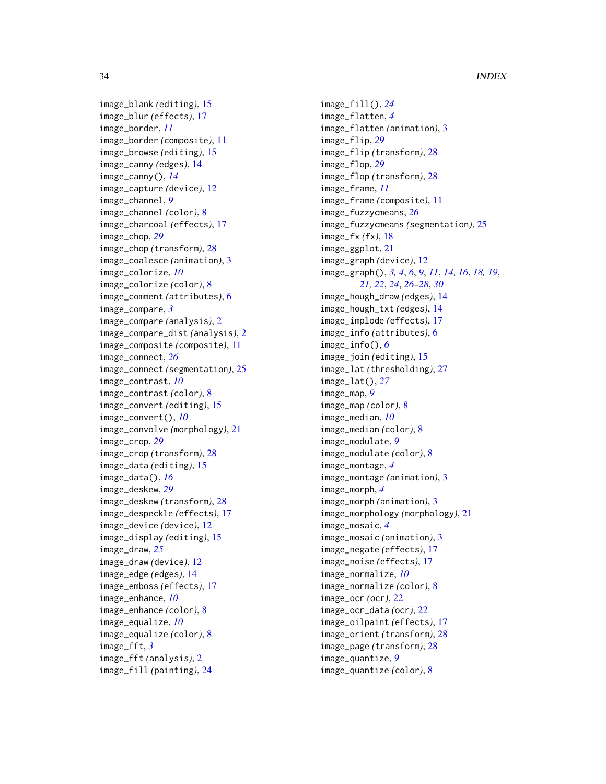image\_blank *(*editing*)*, [15](#page-14-0) image\_blur *(*effects*)*, [17](#page-16-0) image\_border, *[11](#page-10-0)* image\_border *(*composite*)*, [11](#page-10-0) image\_browse *(*editing*)*, [15](#page-14-0) image\_canny *(*edges*)*, [14](#page-13-0) image\_canny(), *[14](#page-13-0)* image\_capture *(*device*)*, [12](#page-11-0) image\_channel, *[9](#page-8-0)* image\_channel *(*color*)*, [8](#page-7-0) image\_charcoal *(*effects*)*, [17](#page-16-0) image\_chop, *[29](#page-28-0)* image\_chop *(*transform*)*, [28](#page-27-0) image\_coalesce *(*animation*)*, [3](#page-2-0) image\_colorize, *[10](#page-9-0)* image\_colorize *(*color*)*, [8](#page-7-0) image\_comment *(*attributes*)*, [6](#page-5-0) image\_compare, *[3](#page-2-0)* image\_compare *(*analysis*)*, [2](#page-1-0) image\_compare\_dist *(*analysis*)*, [2](#page-1-0) image\_composite *(*composite*)*, [11](#page-10-0) image\_connect, *[26](#page-25-0)* image\_connect *(*segmentation*)*, [25](#page-24-0) image\_contrast, *[10](#page-9-0)* image\_contrast *(*color*)*, [8](#page-7-0) image\_convert *(*editing*)*, [15](#page-14-0) image\_convert(), *[10](#page-9-0)* image\_convolve *(*morphology*)*, [21](#page-20-0) image\_crop, *[29](#page-28-0)* image\_crop *(*transform*)*, [28](#page-27-0) image\_data *(*editing*)*, [15](#page-14-0) image\_data(), *[16](#page-15-0)* image\_deskew, *[29](#page-28-0)* image\_deskew *(*transform*)*, [28](#page-27-0) image\_despeckle *(*effects*)*, [17](#page-16-0) image\_device *(*device*)*, [12](#page-11-0) image\_display *(*editing*)*, [15](#page-14-0) image\_draw, *[25](#page-24-0)* image\_draw *(*device*)*, [12](#page-11-0) image\_edge *(*edges*)*, [14](#page-13-0) image\_emboss *(*effects*)*, [17](#page-16-0) image\_enhance, *[10](#page-9-0)* image\_enhance *(*color*)*, [8](#page-7-0) image\_equalize, *[10](#page-9-0)* image\_equalize *(*color*)*, [8](#page-7-0) image\_fft, *[3](#page-2-0)* image\_fft *(*analysis*)*, [2](#page-1-0) image\_fill *(*painting*)*, [24](#page-23-0)

image\_fill(), *[24](#page-23-0)* image\_flatten, *[4](#page-3-0)* image\_flatten *(*animation*)*, [3](#page-2-0) image\_flip, *[29](#page-28-0)* image\_flip *(*transform*)*, [28](#page-27-0) image\_flop, *[29](#page-28-0)* image\_flop *(*transform*)*, [28](#page-27-0) image\_frame, *[11](#page-10-0)* image\_frame *(*composite*)*, [11](#page-10-0) image\_fuzzycmeans, *[26](#page-25-0)* image\_fuzzycmeans *(*segmentation*)*, [25](#page-24-0) image\_fx *(*fx*)*, [18](#page-17-0) image\_ggplot, [21](#page-20-0) image\_graph *(*device*)*, [12](#page-11-0) image\_graph(), *[3,](#page-2-0) [4](#page-3-0)*, *[6](#page-5-0)*, *[9](#page-8-0)*, *[11](#page-10-0)*, *[14](#page-13-0)*, *[16](#page-15-0)*, *[18,](#page-17-0) [19](#page-18-0)*, *[21,](#page-20-0) [22](#page-21-0)*, *[24](#page-23-0)*, *[26](#page-25-0)[–28](#page-27-0)*, *[30](#page-29-0)* image\_hough\_draw *(*edges*)*, [14](#page-13-0) image\_hough\_txt *(*edges*)*, [14](#page-13-0) image\_implode *(*effects*)*, [17](#page-16-0) image\_info *(*attributes*)*, [6](#page-5-0) image\_info(), *[6](#page-5-0)* image\_join *(*editing*)*, [15](#page-14-0) image\_lat *(*thresholding*)*, [27](#page-26-0) image\_lat(), *[27](#page-26-0)* image\_map, *[9](#page-8-0)* image\_map *(*color*)*, [8](#page-7-0) image\_median, *[10](#page-9-0)* image\_median *(*color*)*, [8](#page-7-0) image\_modulate, *[9](#page-8-0)* image\_modulate *(*color*)*, [8](#page-7-0) image\_montage, *[4](#page-3-0)* image\_montage *(*animation*)*, [3](#page-2-0) image\_morph, *[4](#page-3-0)* image\_morph *(*animation*)*, [3](#page-2-0) image\_morphology *(*morphology*)*, [21](#page-20-0) image\_mosaic, *[4](#page-3-0)* image\_mosaic *(*animation*)*, [3](#page-2-0) image\_negate *(*effects*)*, [17](#page-16-0) image\_noise *(*effects*)*, [17](#page-16-0) image\_normalize, *[10](#page-9-0)* image\_normalize *(*color*)*, [8](#page-7-0) image\_ocr *(*ocr*)*, [22](#page-21-0) image\_ocr\_data *(*ocr*)*, [22](#page-21-0) image\_oilpaint *(*effects*)*, [17](#page-16-0) image\_orient *(*transform*)*, [28](#page-27-0) image\_page *(*transform*)*, [28](#page-27-0) image\_quantize, *[9](#page-8-0)* image\_quantize *(*color*)*, [8](#page-7-0)